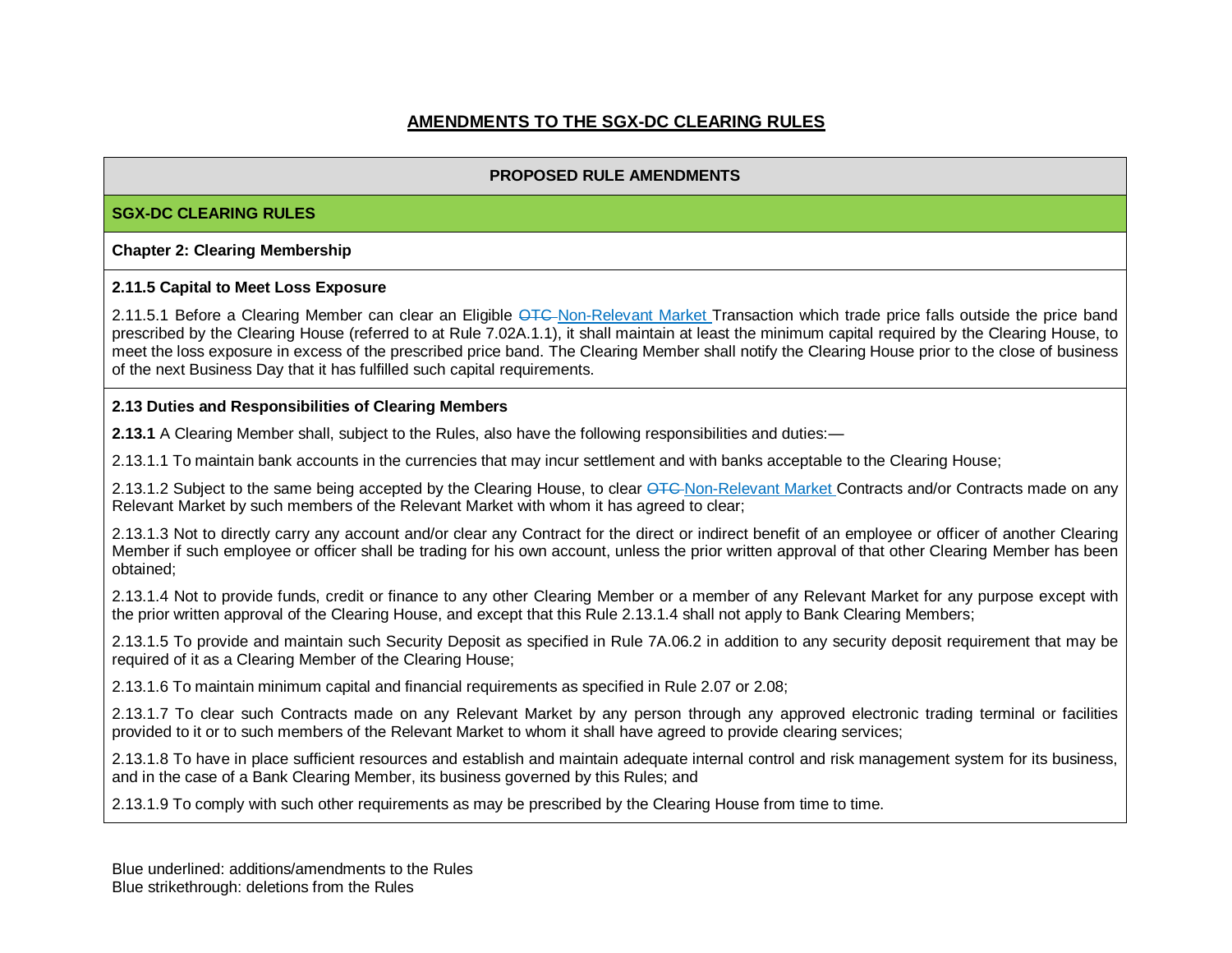## **AMENDMENTS TO THE SGX-DC CLEARING RULES**

### **PROPOSED RULE AMENDMENTS**

#### **SGX-DC CLEARING RULES**

#### **Chapter 2: Clearing Membership**

#### **2.11.5 Capital to Meet Loss Exposure**

2.11.5.1 Before a Clearing Member can clear an Eligible OTC-Non-Relevant Market Transaction which trade price falls outside the price band prescribed by the Clearing House (referred to at Rule 7.02A.1.1), it shall maintain at least the minimum capital required by the Clearing House, to meet the loss exposure in excess of the prescribed price band. The Clearing Member shall notify the Clearing House prior to the close of business of the next Business Day that it has fulfilled such capital requirements.

#### **2.13 Duties and Responsibilities of Clearing Members**

**2.13.1** A Clearing Member shall, subject to the Rules, also have the following responsibilities and duties:—

2.13.1.1 To maintain bank accounts in the currencies that may incur settlement and with banks acceptable to the Clearing House;

2.13.1.2 Subject to the same being accepted by the Clearing House, to clear <del>OTC</del> Non-Relevant Market Contracts and/or Contracts made on any Relevant Market by such members of the Relevant Market with whom it has agreed to clear;

2.13.1.3 Not to directly carry any account and/or clear any Contract for the direct or indirect benefit of an employee or officer of another Clearing Member if such employee or officer shall be trading for his own account, unless the prior written approval of that other Clearing Member has been obtained;

2.13.1.4 Not to provide funds, credit or finance to any other Clearing Member or a member of any Relevant Market for any purpose except with the prior written approval of the Clearing House, and except that this Rule 2.13.1.4 shall not apply to Bank Clearing Members;

2.13.1.5 To provide and maintain such Security Deposit as specified in Rule 7A.06.2 in addition to any security deposit requirement that may be required of it as a Clearing Member of the Clearing House;

2.13.1.6 To maintain minimum capital and financial requirements as specified in Rule 2.07 or 2.08;

2.13.1.7 To clear such Contracts made on any Relevant Market by any person through any approved electronic trading terminal or facilities provided to it or to such members of the Relevant Market to whom it shall have agreed to provide clearing services;

2.13.1.8 To have in place sufficient resources and establish and maintain adequate internal control and risk management system for its business, and in the case of a Bank Clearing Member, its business governed by this Rules; and

2.13.1.9 To comply with such other requirements as may be prescribed by the Clearing House from time to time.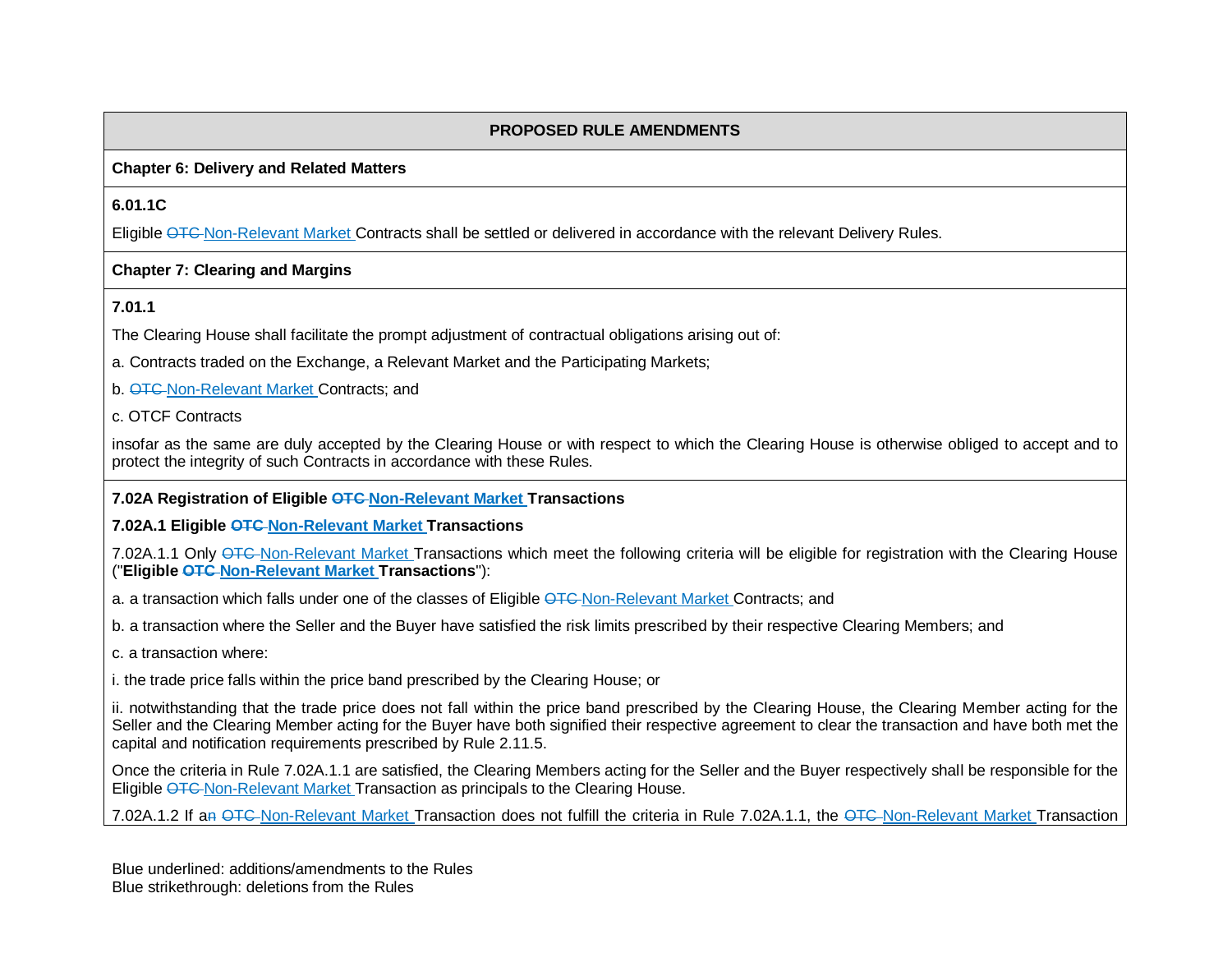#### **Chapter 6: Delivery and Related Matters**

### **6.01.1C**

Eligible OTC-Non-Relevant Market Contracts shall be settled or delivered in accordance with the relevant Delivery Rules.

#### **Chapter 7: Clearing and Margins**

### **7.01.1**

The Clearing House shall facilitate the prompt adjustment of contractual obligations arising out of:

a. Contracts traded on the Exchange, a Relevant Market and the Participating Markets;

b. **OTC-Non-Relevant Market Contracts**; and

c. OTCF Contracts

insofar as the same are duly accepted by the Clearing House or with respect to which the Clearing House is otherwise obliged to accept and to protect the integrity of such Contracts in accordance with these Rules.

### **7.02A Registration of Eligible OTC Non-Relevant Market Transactions**

**7.02A.1 Eligible OTC Non-Relevant Market Transactions**

7.02A.1.1 Only OTC Non-Relevant Market Transactions which meet the following criteria will be eligible for registration with the Clearing House ("**Eligible OTC Non-Relevant Market Transactions**"):

a. a transaction which falls under one of the classes of Eligible OTC-Non-Relevant Market Contracts; and

b. a transaction where the Seller and the Buyer have satisfied the risk limits prescribed by their respective Clearing Members; and

c. a transaction where:

i. the trade price falls within the price band prescribed by the Clearing House; or

ii. notwithstanding that the trade price does not fall within the price band prescribed by the Clearing House, the Clearing Member acting for the Seller and the Clearing Member acting for the Buyer have both signified their respective agreement to clear the transaction and have both met the capital and notification requirements prescribed by Rule 2.11.5.

Once the criteria in Rule 7.02A.1.1 are satisfied, the Clearing Members acting for the Seller and the Buyer respectively shall be responsible for the Eligible OTC Non-Relevant Market Transaction as principals to the Clearing House.

7.02A.1.2 If an OTC-Non-Relevant Market Transaction does not fulfill the criteria in Rule 7.02A.1.1, the OTC-Non-Relevant Market Transaction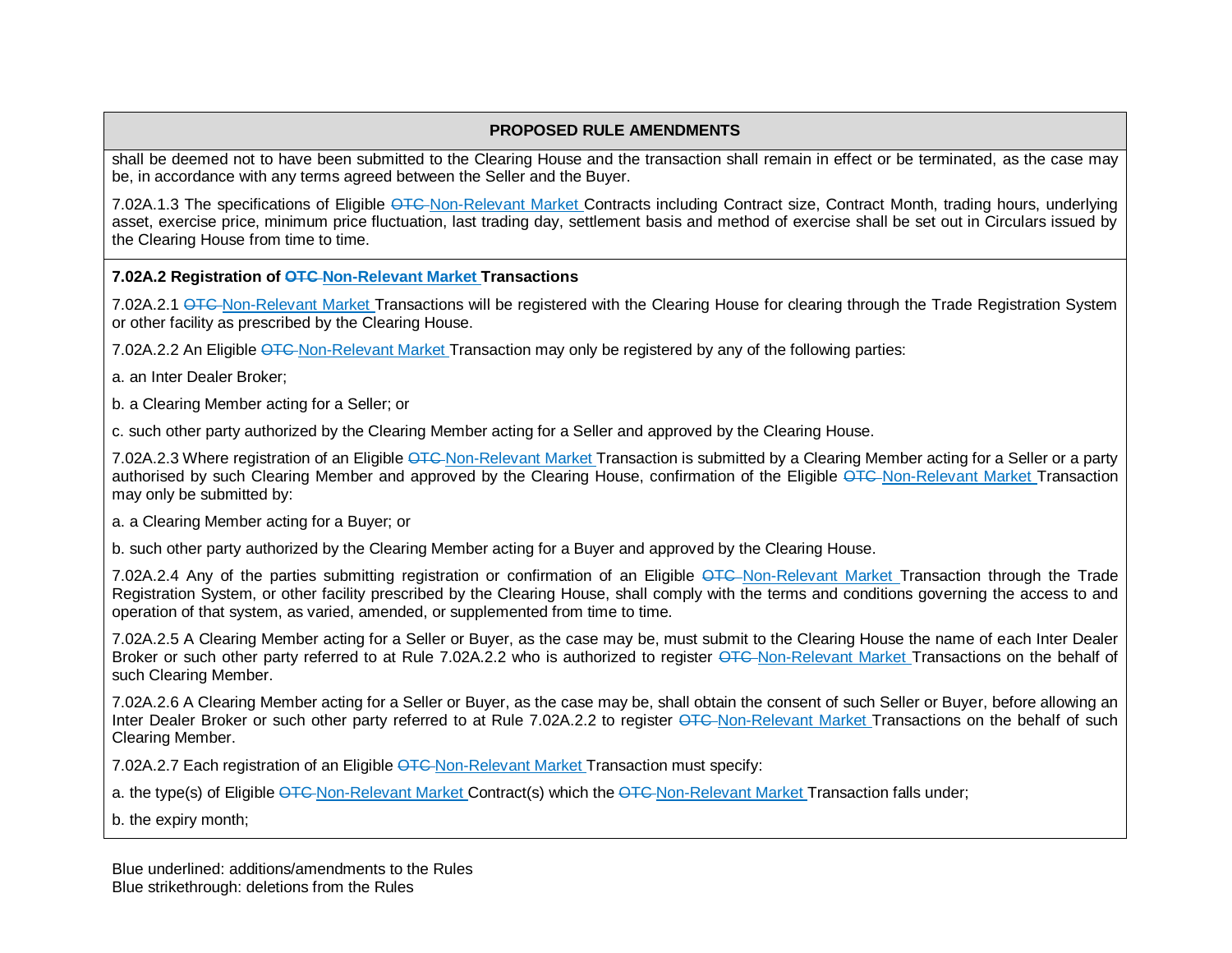shall be deemed not to have been submitted to the Clearing House and the transaction shall remain in effect or be terminated, as the case may be, in accordance with any terms agreed between the Seller and the Buyer.

7.02A.1.3 The specifications of Eligible OTC-Non-Relevant Market Contracts including Contract size, Contract Month, trading hours, underlying asset, exercise price, minimum price fluctuation, last trading day, settlement basis and method of exercise shall be set out in Circulars issued by the Clearing House from time to time.

**7.02A.2 Registration of OTC Non-Relevant Market Transactions**

7.02A.2.1 OTC Non-Relevant Market Transactions will be registered with the Clearing House for clearing through the Trade Registration System or other facility as prescribed by the Clearing House.

7.02A.2.2 An Eligible OTC Non-Relevant Market Transaction may only be registered by any of the following parties:

a. an Inter Dealer Broker;

b. a Clearing Member acting for a Seller; or

c. such other party authorized by the Clearing Member acting for a Seller and approved by the Clearing House.

7.02A.2.3 Where registration of an Eligible OTC-Non-Relevant Market Transaction is submitted by a Clearing Member acting for a Seller or a party authorised by such Clearing Member and approved by the Clearing House, confirmation of the Eligible OTC Non-Relevant Market Transaction may only be submitted by:

a. a Clearing Member acting for a Buyer; or

b. such other party authorized by the Clearing Member acting for a Buyer and approved by the Clearing House.

7.02A.2.4 Any of the parties submitting registration or confirmation of an Eligible OTC-Non-Relevant Market Transaction through the Trade Registration System, or other facility prescribed by the Clearing House, shall comply with the terms and conditions governing the access to and operation of that system, as varied, amended, or supplemented from time to time.

7.02A.2.5 A Clearing Member acting for a Seller or Buyer, as the case may be, must submit to the Clearing House the name of each Inter Dealer Broker or such other party referred to at Rule 7.02A.2.2 who is authorized to register OTC Non-Relevant Market Transactions on the behalf of such Clearing Member.

7.02A.2.6 A Clearing Member acting for a Seller or Buyer, as the case may be, shall obtain the consent of such Seller or Buyer, before allowing an Inter Dealer Broker or such other party referred to at Rule 7.02A.2.2 to register OTC Non-Relevant Market Transactions on the behalf of such Clearing Member.

7.02A.2.7 Each registration of an Eligible OTC-Non-Relevant Market Transaction must specify:

a. the type(s) of Eligible OTC-Non-Relevant Market Contract(s) which the OTC-Non-Relevant Market Transaction falls under;

b. the expiry month;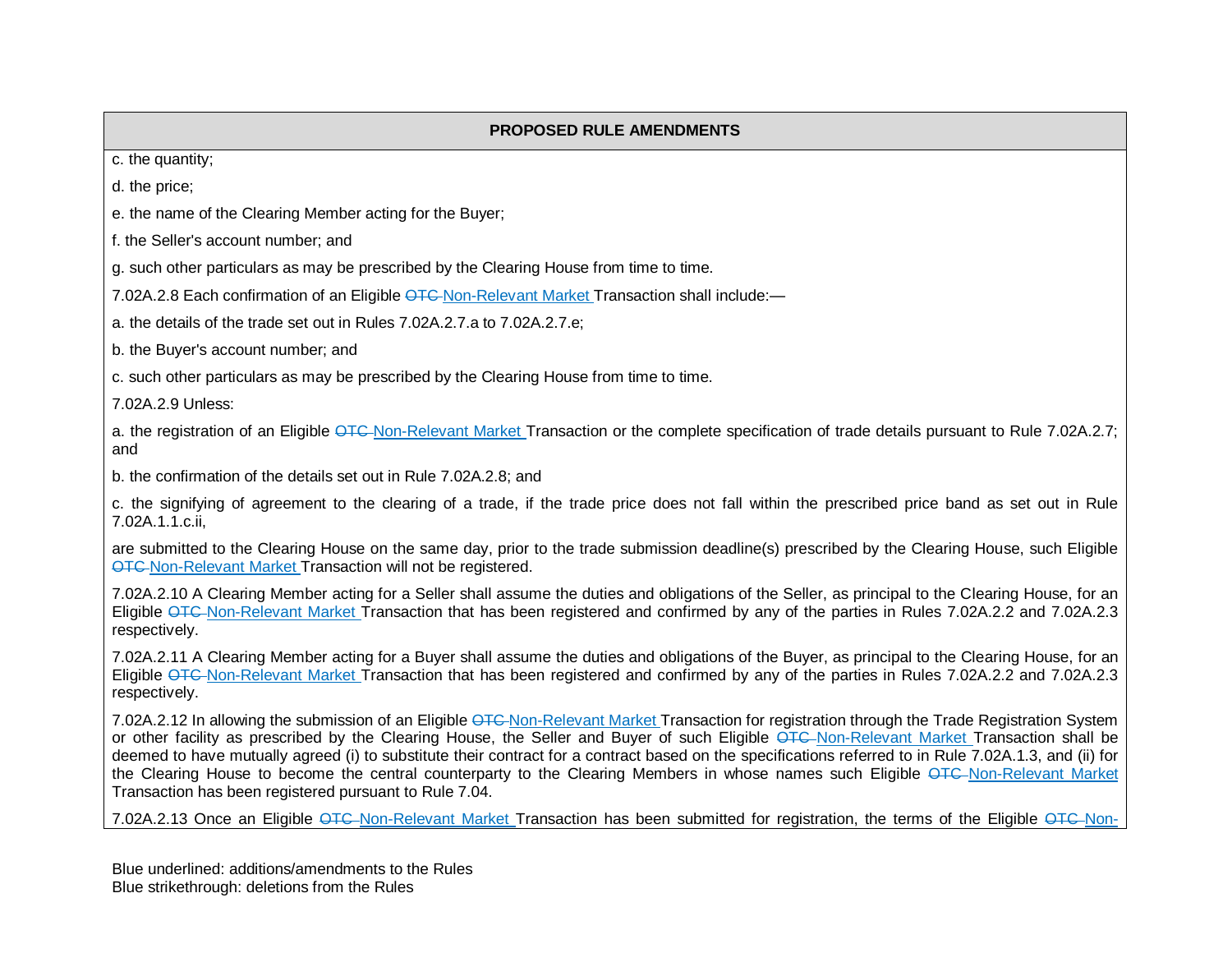c. the quantity;

d. the price;

e. the name of the Clearing Member acting for the Buyer;

f. the Seller's account number; and

g. such other particulars as may be prescribed by the Clearing House from time to time.

7.02A.2.8 Each confirmation of an Eligible OTC-Non-Relevant Market Transaction shall include:-

a. the details of the trade set out in Rules 7.02A.2.7.a to 7.02A.2.7.e;

b. the Buyer's account number; and

c. such other particulars as may be prescribed by the Clearing House from time to time.

7.02A.2.9 Unless:

a. the registration of an Eligible OTC-Non-Relevant Market Transaction or the complete specification of trade details pursuant to Rule 7.02A.2.7; and

b. the confirmation of the details set out in Rule 7.02A.2.8; and

c. the signifying of agreement to the clearing of a trade, if the trade price does not fall within the prescribed price band as set out in Rule 7.02A.1.1.c.ii,

are submitted to the Clearing House on the same day, prior to the trade submission deadline(s) prescribed by the Clearing House, such Eligible OTC Non-Relevant Market Transaction will not be registered.

7.02A.2.10 A Clearing Member acting for a Seller shall assume the duties and obligations of the Seller, as principal to the Clearing House, for an Eligible OTC Non-Relevant Market Transaction that has been registered and confirmed by any of the parties in Rules 7.02A.2.2 and 7.02A.2.3 respectively.

7.02A.2.11 A Clearing Member acting for a Buyer shall assume the duties and obligations of the Buyer, as principal to the Clearing House, for an Eligible OTC-Non-Relevant Market Transaction that has been registered and confirmed by any of the parties in Rules 7.02A.2.2 and 7.02A.2.3 respectively.

7.02A.2.12 In allowing the submission of an Eligible OTC-Non-Relevant Market Transaction for registration through the Trade Registration System or other facility as prescribed by the Clearing House, the Seller and Buyer of such Eligible OTC Non-Relevant Market Transaction shall be deemed to have mutually agreed (i) to substitute their contract for a contract based on the specifications referred to in Rule 7.02A.1.3, and (ii) for the Clearing House to become the central counterparty to the Clearing Members in whose names such Eligible OTC-Non-Relevant Market Transaction has been registered pursuant to Rule 7.04.

7.02A.2.13 Once an Eligible <del>OTC</del>-Non-Relevant Market Transaction has been submitted for registration, the terms of the Eligible <del>OTC</del>-Non-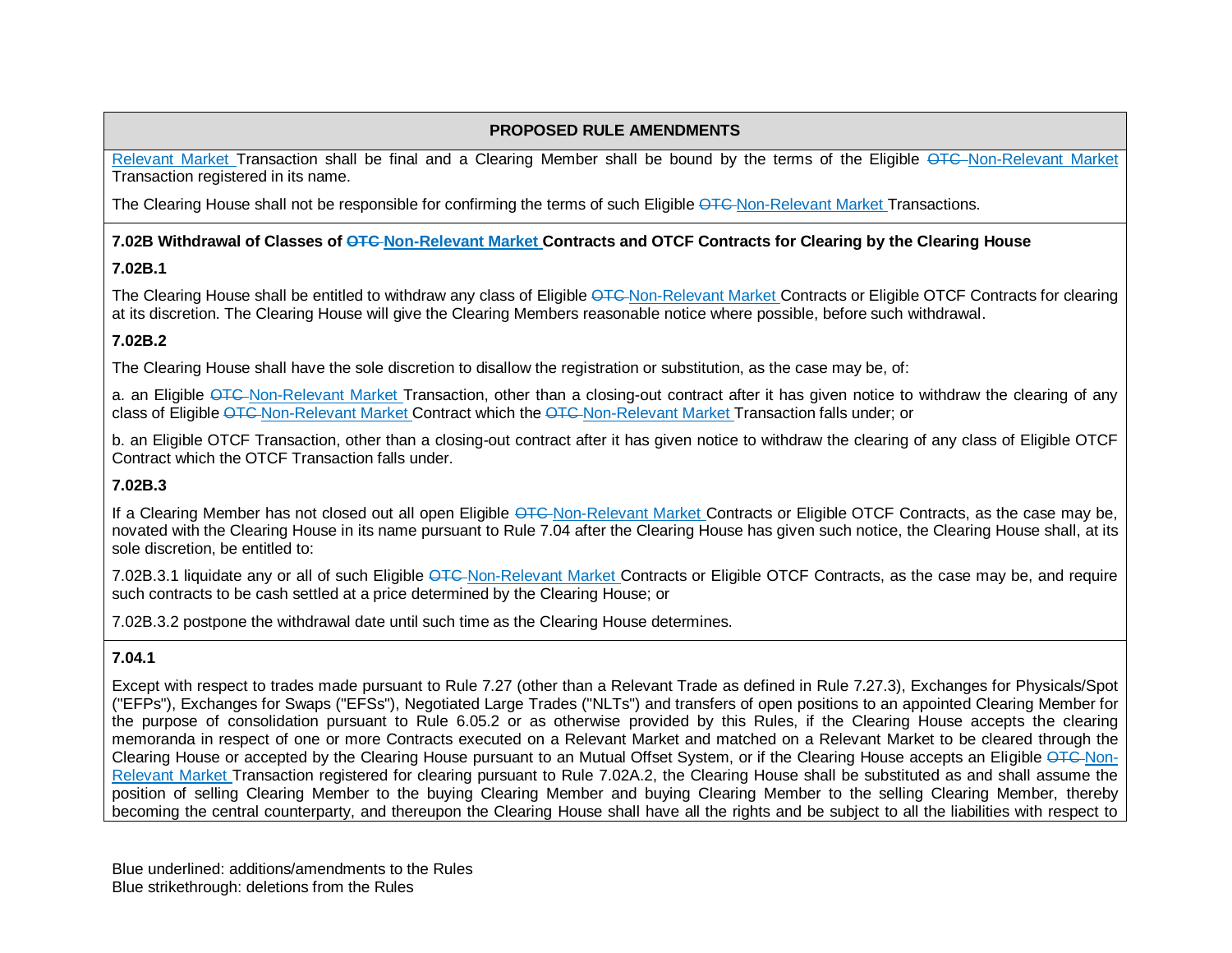Relevant Market Transaction shall be final and a Clearing Member shall be bound by the terms of the Eligible OTC-Non-Relevant Market Transaction registered in its name.

The Clearing House shall not be responsible for confirming the terms of such Eligible OTC-Non-Relevant Market Transactions.

### **7.02B Withdrawal of Classes of OTC Non-Relevant Market Contracts and OTCF Contracts for Clearing by the Clearing House**

## **7.02B.1**

The Clearing House shall be entitled to withdraw any class of Eligible OTC-Non-Relevant Market Contracts or Eligible OTCF Contracts for clearing at its discretion. The Clearing House will give the Clearing Members reasonable notice where possible, before such withdrawal.

## **7.02B.2**

The Clearing House shall have the sole discretion to disallow the registration or substitution, as the case may be, of:

a. an Eligible OTC-Non-Relevant Market Transaction, other than a closing-out contract after it has given notice to withdraw the clearing of any class of Eligible OTC Non-Relevant Market Contract which the OTC Non-Relevant Market Transaction falls under; or

b. an Eligible OTCF Transaction, other than a closing-out contract after it has given notice to withdraw the clearing of any class of Eligible OTCF Contract which the OTCF Transaction falls under.

## **7.02B.3**

If a Clearing Member has not closed out all open Eligible OTC-Non-Relevant Market Contracts or Eligible OTCF Contracts, as the case may be, novated with the Clearing House in its name pursuant to Rule 7.04 after the Clearing House has given such notice, the Clearing House shall, at its sole discretion, be entitled to:

7.02B.3.1 liquidate any or all of such Eligible OTC-Non-Relevant Market Contracts or Eligible OTCF Contracts, as the case may be, and require such contracts to be cash settled at a price determined by the Clearing House; or

7.02B.3.2 postpone the withdrawal date until such time as the Clearing House determines.

## **7.04.1**

Except with respect to trades made pursuant to Rule 7.27 (other than a Relevant Trade as defined in Rule 7.27.3), Exchanges for Physicals/Spot ("EFPs"), Exchanges for Swaps ("EFSs"), Negotiated Large Trades ("NLTs") and transfers of open positions to an appointed Clearing Member for the purpose of consolidation pursuant to Rule 6.05.2 or as otherwise provided by this Rules, if the Clearing House accepts the clearing memoranda in respect of one or more Contracts executed on a Relevant Market and matched on a Relevant Market to be cleared through the Clearing House or accepted by the Clearing House pursuant to an Mutual Offset System, or if the Clearing House accepts an Eligible OTC-Non-Relevant Market Transaction registered for clearing pursuant to Rule 7.02A.2, the Clearing House shall be substituted as and shall assume the position of selling Clearing Member to the buying Clearing Member and buying Clearing Member to the selling Clearing Member, thereby becoming the central counterparty, and thereupon the Clearing House shall have all the rights and be subject to all the liabilities with respect to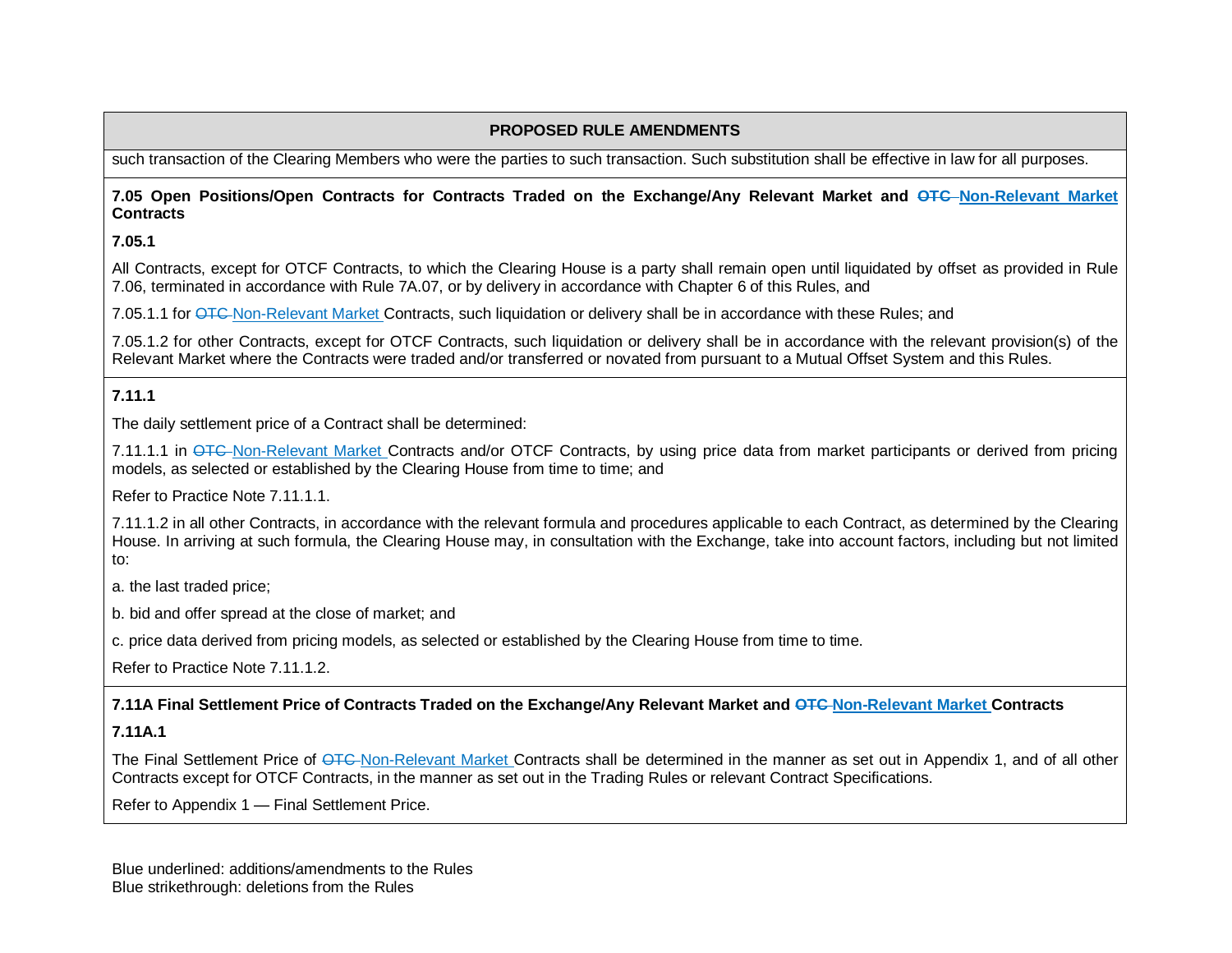such transaction of the Clearing Members who were the parties to such transaction. Such substitution shall be effective in law for all purposes.

### **7.05 Open Positions/Open Contracts for Contracts Traded on the Exchange/Any Relevant Market and OTC Non-Relevant Market Contracts**

**7.05.1**

All Contracts, except for OTCF Contracts, to which the Clearing House is a party shall remain open until liquidated by offset as provided in Rule 7.06, terminated in accordance with Rule 7A.07, or by delivery in accordance with Chapter 6 of this Rules, and

7.05.1.1 for OTC-Non-Relevant Market Contracts, such liquidation or delivery shall be in accordance with these Rules; and

7.05.1.2 for other Contracts, except for OTCF Contracts, such liquidation or delivery shall be in accordance with the relevant provision(s) of the Relevant Market where the Contracts were traded and/or transferred or novated from pursuant to a Mutual Offset System and this Rules.

**7.11.1**

The daily settlement price of a Contract shall be determined:

7.11.1.1 in OTC-Non-Relevant Market Contracts and/or OTCF Contracts, by using price data from market participants or derived from pricing models, as selected or established by the Clearing House from time to time; and

Refer to Practice Note 7.11.1.1.

7.11.1.2 in all other Contracts, in accordance with the relevant formula and procedures applicable to each Contract, as determined by the Clearing House. In arriving at such formula, the Clearing House may, in consultation with the Exchange, take into account factors, including but not limited to:

a. the last traded price;

b. bid and offer spread at the close of market; and

c. price data derived from pricing models, as selected or established by the Clearing House from time to time.

Refer to Practice Note 7.11.1.2.

**7.11A Final Settlement Price of Contracts Traded on the Exchange/Any Relevant Market and OTC Non-Relevant Market Contracts**

### **7.11A.1**

The Final Settlement Price of <del>OTC</del>-Non-Relevant Market Contracts shall be determined in the manner as set out in Appendix 1, and of all other Contracts except for OTCF Contracts, in the manner as set out in the Trading Rules or relevant Contract Specifications.

Refer to Appendix 1 — Final Settlement Price.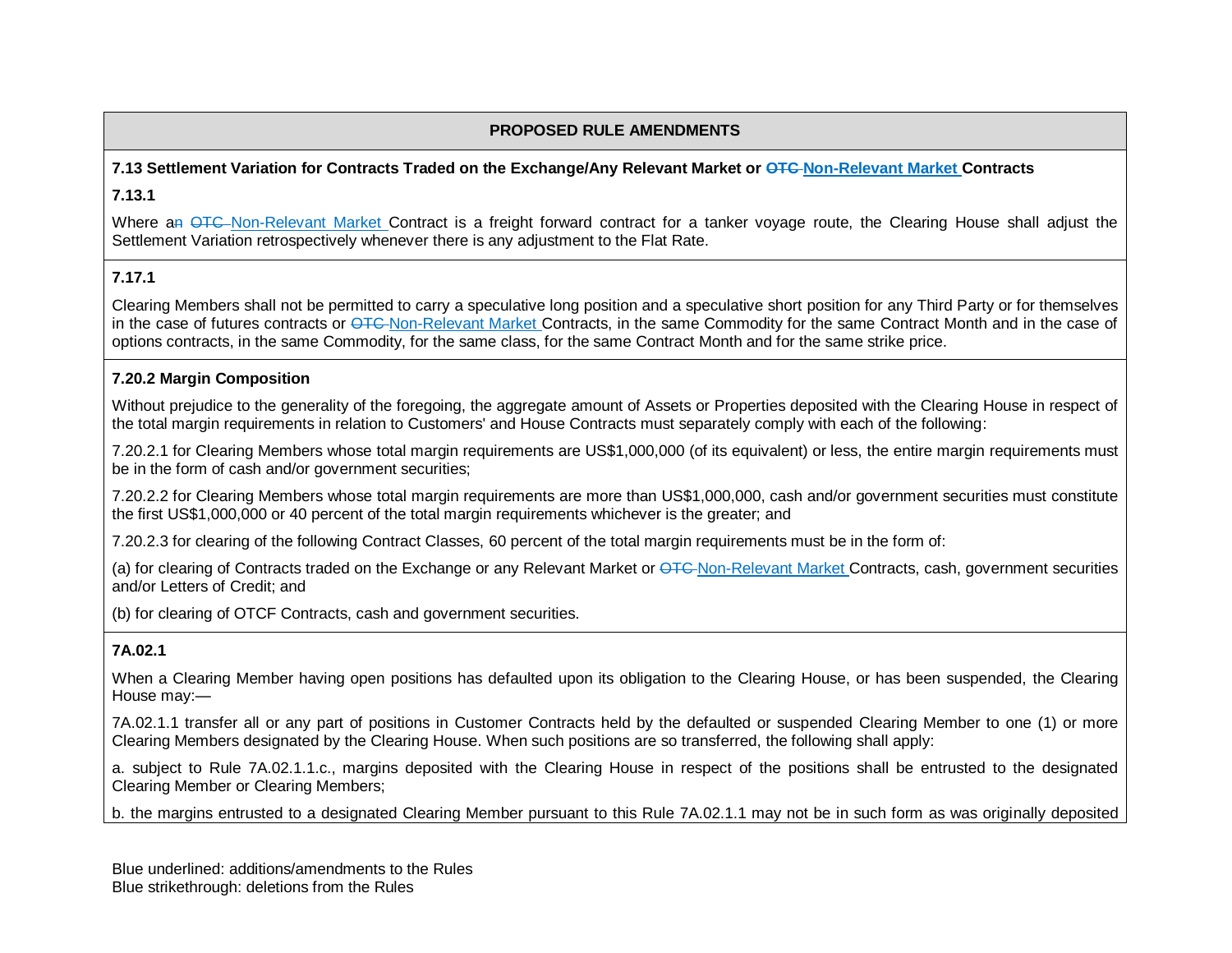## **7.13 Settlement Variation for Contracts Traded on the Exchange/Any Relevant Market or OTC Non-Relevant Market Contracts 7.13.1**

Where an OTC Non-Relevant Market Contract is a freight forward contract for a tanker voyage route, the Clearing House shall adjust the Settlement Variation retrospectively whenever there is any adjustment to the Flat Rate.

### **7.17.1**

Clearing Members shall not be permitted to carry a speculative long position and a speculative short position for any Third Party or for themselves in the case of futures contracts or OTC Non-Relevant Market Contracts, in the same Commodity for the same Contract Month and in the case of options contracts, in the same Commodity, for the same class, for the same Contract Month and for the same strike price.

### **7.20.2 Margin Composition**

Without prejudice to the generality of the foregoing, the aggregate amount of Assets or Properties deposited with the Clearing House in respect of the total margin requirements in relation to Customers' and House Contracts must separately comply with each of the following:

7.20.2.1 for Clearing Members whose total margin requirements are US\$1,000,000 (of its equivalent) or less, the entire margin requirements must be in the form of cash and/or government securities;

7.20.2.2 for Clearing Members whose total margin requirements are more than US\$1,000,000, cash and/or government securities must constitute the first US\$1,000,000 or 40 percent of the total margin requirements whichever is the greater; and

7.20.2.3 for clearing of the following Contract Classes, 60 percent of the total margin requirements must be in the form of:

(a) for clearing of Contracts traded on the Exchange or any Relevant Market or OTC-Non-Relevant Market Contracts, cash, government securities and/or Letters of Credit; and

(b) for clearing of OTCF Contracts, cash and government securities.

## **7A.02.1**

When a Clearing Member having open positions has defaulted upon its obligation to the Clearing House, or has been suspended, the Clearing House may:—

7A.02.1.1 transfer all or any part of positions in Customer Contracts held by the defaulted or suspended Clearing Member to one (1) or more Clearing Members designated by the Clearing House. When such positions are so transferred, the following shall apply:

a. subject to Rule 7A.02.1.1.c., margins deposited with the Clearing House in respect of the positions shall be entrusted to the designated Clearing Member or Clearing Members;

b. the margins entrusted to a designated Clearing Member pursuant to this Rule 7A.02.1.1 may not be in such form as was originally deposited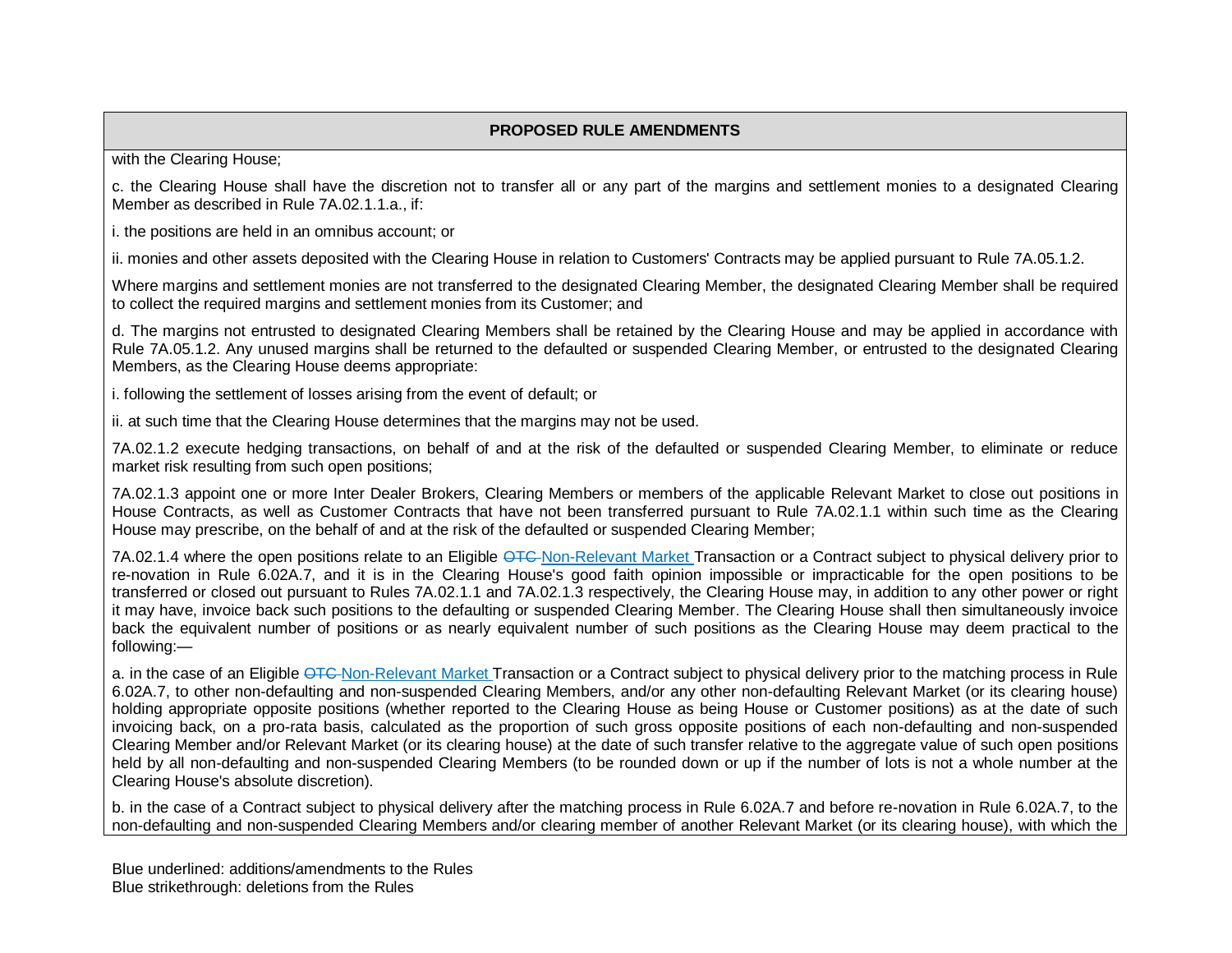with the Clearing House;

c. the Clearing House shall have the discretion not to transfer all or any part of the margins and settlement monies to a designated Clearing Member as described in Rule 7A.02.1.1.a., if:

i. the positions are held in an omnibus account; or

ii. monies and other assets deposited with the Clearing House in relation to Customers' Contracts may be applied pursuant to Rule 7A.05.1.2.

Where margins and settlement monies are not transferred to the designated Clearing Member, the designated Clearing Member shall be required to collect the required margins and settlement monies from its Customer; and

d. The margins not entrusted to designated Clearing Members shall be retained by the Clearing House and may be applied in accordance with Rule 7A.05.1.2. Any unused margins shall be returned to the defaulted or suspended Clearing Member, or entrusted to the designated Clearing Members, as the Clearing House deems appropriate:

i. following the settlement of losses arising from the event of default; or

ii. at such time that the Clearing House determines that the margins may not be used.

7A.02.1.2 execute hedging transactions, on behalf of and at the risk of the defaulted or suspended Clearing Member, to eliminate or reduce market risk resulting from such open positions;

7A.02.1.3 appoint one or more Inter Dealer Brokers, Clearing Members or members of the applicable Relevant Market to close out positions in House Contracts, as well as Customer Contracts that have not been transferred pursuant to Rule 7A.02.1.1 within such time as the Clearing House may prescribe, on the behalf of and at the risk of the defaulted or suspended Clearing Member;

7A.02.1.4 where the open positions relate to an Eligible OTC-Non-Relevant Market Transaction or a Contract subject to physical delivery prior to re-novation in Rule 6.02A.7, and it is in the Clearing House's good faith opinion impossible or impracticable for the open positions to be transferred or closed out pursuant to Rules 7A.02.1.1 and 7A.02.1.3 respectively, the Clearing House may, in addition to any other power or right it may have, invoice back such positions to the defaulting or suspended Clearing Member. The Clearing House shall then simultaneously invoice back the equivalent number of positions or as nearly equivalent number of such positions as the Clearing House may deem practical to the following:—

a. in the case of an Eligible OTC-Non-Relevant Market Transaction or a Contract subject to physical delivery prior to the matching process in Rule 6.02A.7, to other non-defaulting and non-suspended Clearing Members, and/or any other non-defaulting Relevant Market (or its clearing house) holding appropriate opposite positions (whether reported to the Clearing House as being House or Customer positions) as at the date of such invoicing back, on a pro-rata basis, calculated as the proportion of such gross opposite positions of each non-defaulting and non-suspended Clearing Member and/or Relevant Market (or its clearing house) at the date of such transfer relative to the aggregate value of such open positions held by all non-defaulting and non-suspended Clearing Members (to be rounded down or up if the number of lots is not a whole number at the Clearing House's absolute discretion).

b. in the case of a Contract subject to physical delivery after the matching process in Rule 6.02A.7 and before re-novation in Rule 6.02A.7, to the non-defaulting and non-suspended Clearing Members and/or clearing member of another Relevant Market (or its clearing house), with which the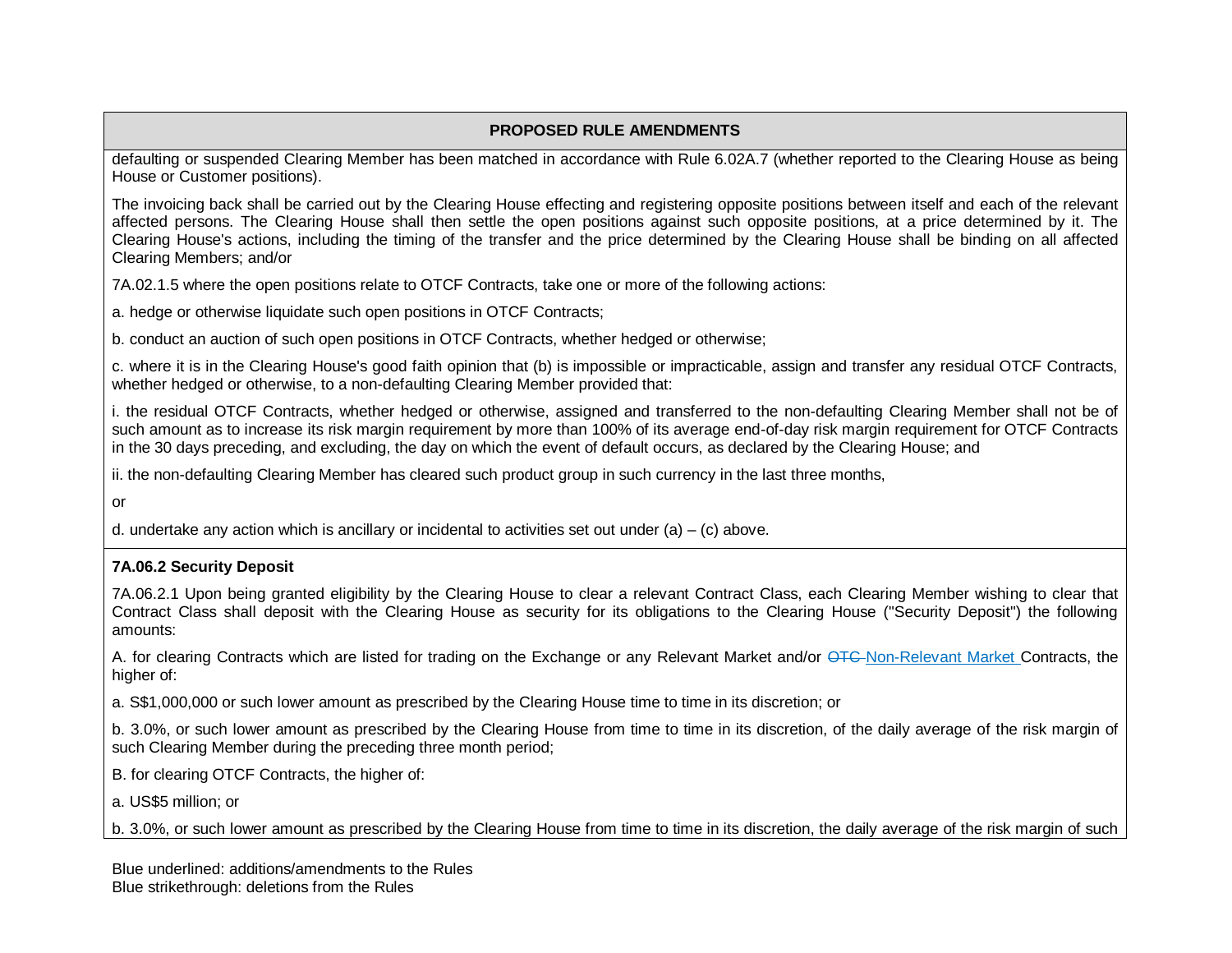defaulting or suspended Clearing Member has been matched in accordance with Rule 6.02A.7 (whether reported to the Clearing House as being House or Customer positions).

The invoicing back shall be carried out by the Clearing House effecting and registering opposite positions between itself and each of the relevant affected persons. The Clearing House shall then settle the open positions against such opposite positions, at a price determined by it. The Clearing House's actions, including the timing of the transfer and the price determined by the Clearing House shall be binding on all affected Clearing Members; and/or

7A.02.1.5 where the open positions relate to OTCF Contracts, take one or more of the following actions:

a. hedge or otherwise liquidate such open positions in OTCF Contracts;

b. conduct an auction of such open positions in OTCF Contracts, whether hedged or otherwise;

c. where it is in the Clearing House's good faith opinion that (b) is impossible or impracticable, assign and transfer any residual OTCF Contracts, whether hedged or otherwise, to a non-defaulting Clearing Member provided that:

i. the residual OTCF Contracts, whether hedged or otherwise, assigned and transferred to the non-defaulting Clearing Member shall not be of such amount as to increase its risk margin requirement by more than 100% of its average end-of-day risk margin requirement for OTCF Contracts in the 30 days preceding, and excluding, the day on which the event of default occurs, as declared by the Clearing House; and

ii. the non-defaulting Clearing Member has cleared such product group in such currency in the last three months,

or

d. undertake any action which is ancillary or incidental to activities set out under  $(a) - (c)$  above.

#### **7A.06.2 Security Deposit**

7A.06.2.1 Upon being granted eligibility by the Clearing House to clear a relevant Contract Class, each Clearing Member wishing to clear that Contract Class shall deposit with the Clearing House as security for its obligations to the Clearing House ("Security Deposit") the following amounts:

A. for clearing Contracts which are listed for trading on the Exchange or any Relevant Market and/or OTC Non-Relevant Market Contracts, the higher of:

a. S\$1,000,000 or such lower amount as prescribed by the Clearing House time to time in its discretion; or

b. 3.0%, or such lower amount as prescribed by the Clearing House from time to time in its discretion, of the daily average of the risk margin of such Clearing Member during the preceding three month period;

B. for clearing OTCF Contracts, the higher of:

a. US\$5 million; or

b. 3.0%, or such lower amount as prescribed by the Clearing House from time to time in its discretion, the daily average of the risk margin of such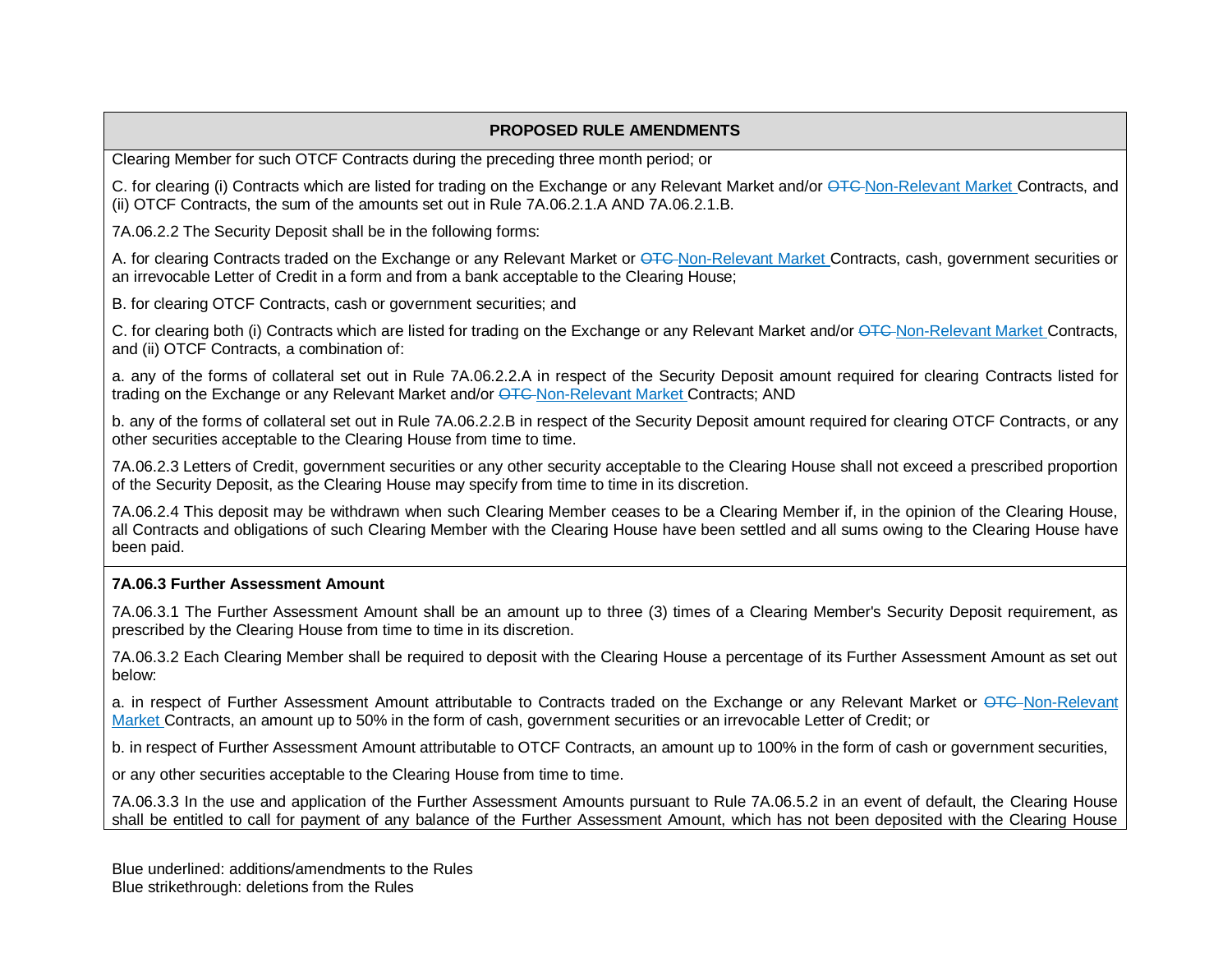Clearing Member for such OTCF Contracts during the preceding three month period; or

C. for clearing (i) Contracts which are listed for trading on the Exchange or any Relevant Market and/or <del>OTC</del>-Non-Relevant Market Contracts, and (ii) OTCF Contracts, the sum of the amounts set out in Rule 7A.06.2.1.A AND 7A.06.2.1.B.

7A.06.2.2 The Security Deposit shall be in the following forms:

A. for clearing Contracts traded on the Exchange or any Relevant Market or OTC-Non-Relevant Market Contracts, cash, government securities or an irrevocable Letter of Credit in a form and from a bank acceptable to the Clearing House;

B. for clearing OTCF Contracts, cash or government securities; and

C. for clearing both (i) Contracts which are listed for trading on the Exchange or any Relevant Market and/or  $QTC$ -Non-Relevant Market Contracts, and (ii) OTCF Contracts, a combination of:

a. any of the forms of collateral set out in Rule 7A.06.2.2.A in respect of the Security Deposit amount required for clearing Contracts listed for trading on the Exchange or any Relevant Market and/or OTC-Non-Relevant Market Contracts; AND

b. any of the forms of collateral set out in Rule 7A.06.2.2.B in respect of the Security Deposit amount required for clearing OTCF Contracts, or any other securities acceptable to the Clearing House from time to time.

7A.06.2.3 Letters of Credit, government securities or any other security acceptable to the Clearing House shall not exceed a prescribed proportion of the Security Deposit, as the Clearing House may specify from time to time in its discretion.

7A.06.2.4 This deposit may be withdrawn when such Clearing Member ceases to be a Clearing Member if, in the opinion of the Clearing House, all Contracts and obligations of such Clearing Member with the Clearing House have been settled and all sums owing to the Clearing House have been paid.

### **7A.06.3 Further Assessment Amount**

7A.06.3.1 The Further Assessment Amount shall be an amount up to three (3) times of a Clearing Member's Security Deposit requirement, as prescribed by the Clearing House from time to time in its discretion.

7A.06.3.2 Each Clearing Member shall be required to deposit with the Clearing House a percentage of its Further Assessment Amount as set out below:

a. in respect of Further Assessment Amount attributable to Contracts traded on the Exchange or any Relevant Market or OTC-Non-Relevant Market Contracts, an amount up to 50% in the form of cash, government securities or an irrevocable Letter of Credit; or

b. in respect of Further Assessment Amount attributable to OTCF Contracts, an amount up to 100% in the form of cash or government securities,

or any other securities acceptable to the Clearing House from time to time.

7A.06.3.3 In the use and application of the Further Assessment Amounts pursuant to Rule 7A.06.5.2 in an event of default, the Clearing House shall be entitled to call for payment of any balance of the Further Assessment Amount, which has not been deposited with the Clearing House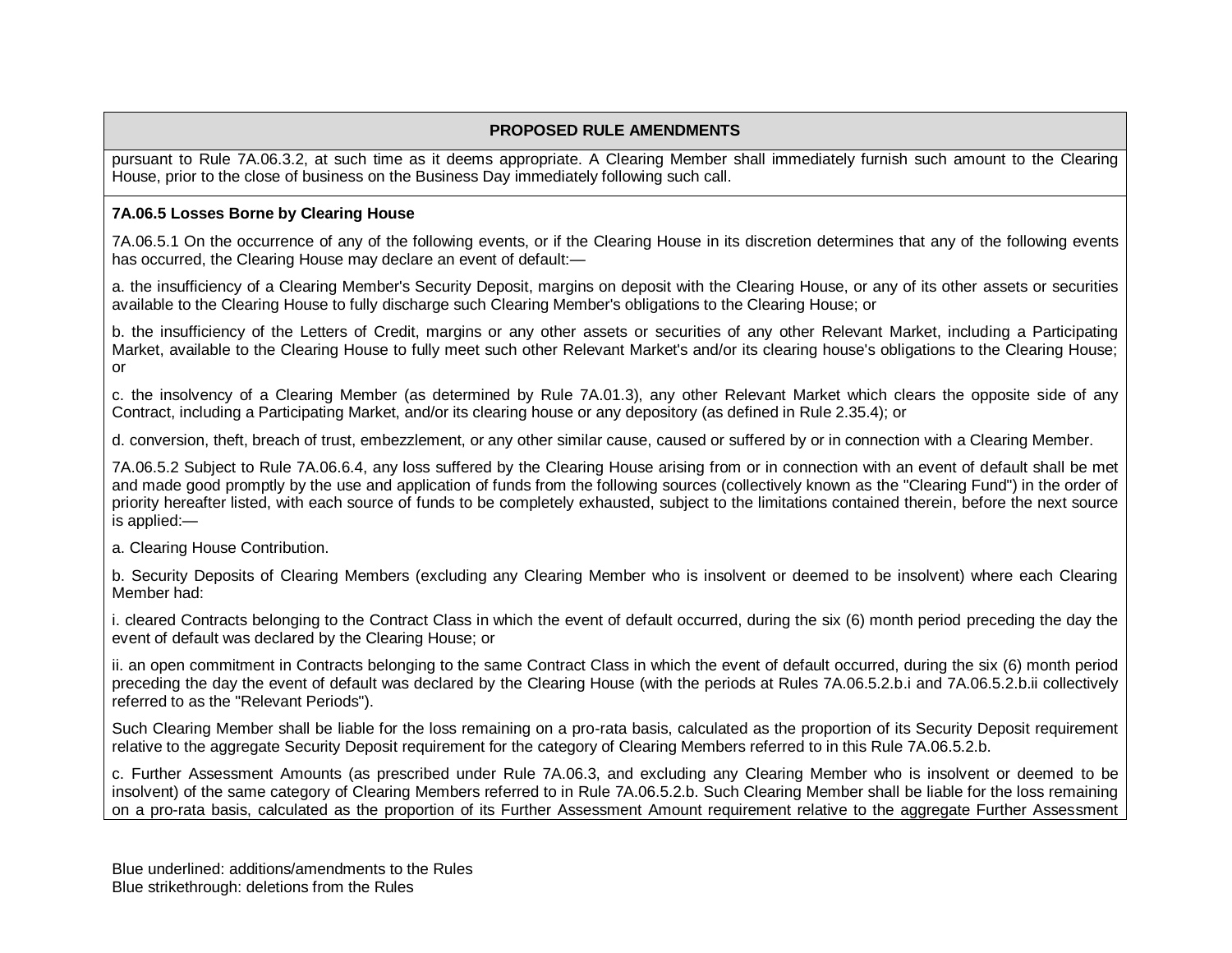pursuant to Rule 7A.06.3.2, at such time as it deems appropriate. A Clearing Member shall immediately furnish such amount to the Clearing House, prior to the close of business on the Business Day immediately following such call.

### **7A.06.5 Losses Borne by Clearing House**

7A.06.5.1 On the occurrence of any of the following events, or if the Clearing House in its discretion determines that any of the following events has occurred, the Clearing House may declare an event of default:—

a. the insufficiency of a Clearing Member's Security Deposit, margins on deposit with the Clearing House, or any of its other assets or securities available to the Clearing House to fully discharge such Clearing Member's obligations to the Clearing House; or

b. the insufficiency of the Letters of Credit, margins or any other assets or securities of any other Relevant Market, including a Participating Market, available to the Clearing House to fully meet such other Relevant Market's and/or its clearing house's obligations to the Clearing House; or

c. the insolvency of a Clearing Member (as determined by Rule 7A.01.3), any other Relevant Market which clears the opposite side of any Contract, including a Participating Market, and/or its clearing house or any depository (as defined in Rule 2.35.4); or

d. conversion, theft, breach of trust, embezzlement, or any other similar cause, caused or suffered by or in connection with a Clearing Member.

7A.06.5.2 Subject to Rule 7A.06.6.4, any loss suffered by the Clearing House arising from or in connection with an event of default shall be met and made good promptly by the use and application of funds from the following sources (collectively known as the "Clearing Fund") in the order of priority hereafter listed, with each source of funds to be completely exhausted, subject to the limitations contained therein, before the next source is applied:—

a. Clearing House Contribution.

b. Security Deposits of Clearing Members (excluding any Clearing Member who is insolvent or deemed to be insolvent) where each Clearing Member had:

i. cleared Contracts belonging to the Contract Class in which the event of default occurred, during the six (6) month period preceding the day the event of default was declared by the Clearing House; or

ii. an open commitment in Contracts belonging to the same Contract Class in which the event of default occurred, during the six (6) month period preceding the day the event of default was declared by the Clearing House (with the periods at Rules 7A.06.5.2.b.i and 7A.06.5.2.b.ii collectively referred to as the "Relevant Periods").

Such Clearing Member shall be liable for the loss remaining on a pro-rata basis, calculated as the proportion of its Security Deposit requirement relative to the aggregate Security Deposit requirement for the category of Clearing Members referred to in this Rule 7A.06.5.2.b.

c. Further Assessment Amounts (as prescribed under Rule 7A.06.3, and excluding any Clearing Member who is insolvent or deemed to be insolvent) of the same category of Clearing Members referred to in Rule 7A.06.5.2.b. Such Clearing Member shall be liable for the loss remaining on a pro-rata basis, calculated as the proportion of its Further Assessment Amount requirement relative to the aggregate Further Assessment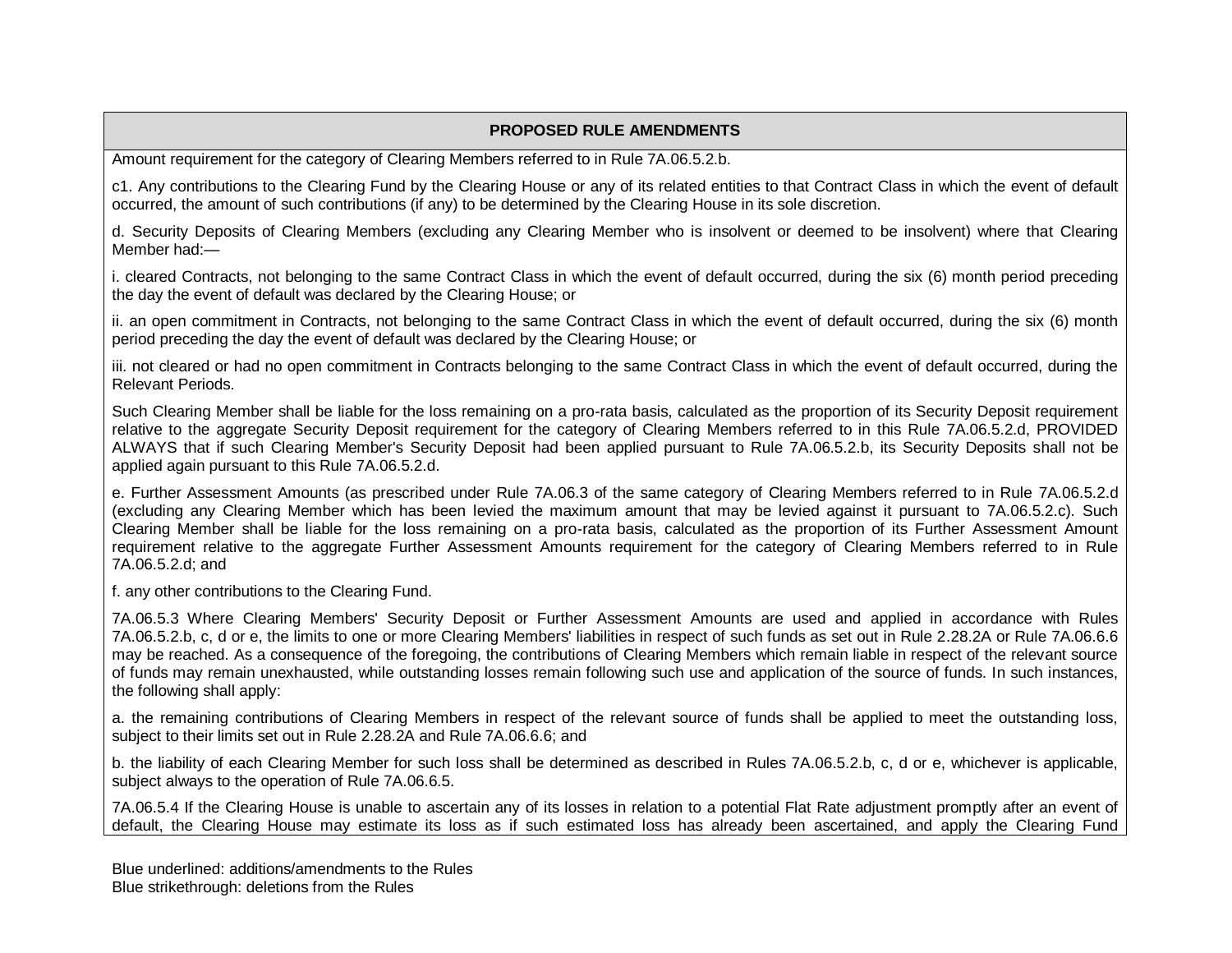Amount requirement for the category of Clearing Members referred to in Rule 7A.06.5.2.b.

c1. Any contributions to the Clearing Fund by the Clearing House or any of its related entities to that Contract Class in which the event of default occurred, the amount of such contributions (if any) to be determined by the Clearing House in its sole discretion.

d. Security Deposits of Clearing Members (excluding any Clearing Member who is insolvent or deemed to be insolvent) where that Clearing Member had:—

i. cleared Contracts, not belonging to the same Contract Class in which the event of default occurred, during the six (6) month period preceding the day the event of default was declared by the Clearing House; or

ii. an open commitment in Contracts, not belonging to the same Contract Class in which the event of default occurred, during the six (6) month period preceding the day the event of default was declared by the Clearing House; or

iii. not cleared or had no open commitment in Contracts belonging to the same Contract Class in which the event of default occurred, during the Relevant Periods.

Such Clearing Member shall be liable for the loss remaining on a pro-rata basis, calculated as the proportion of its Security Deposit requirement relative to the aggregate Security Deposit requirement for the category of Clearing Members referred to in this Rule 7A.06.5.2.d, PROVIDED ALWAYS that if such Clearing Member's Security Deposit had been applied pursuant to Rule 7A.06.5.2.b, its Security Deposits shall not be applied again pursuant to this Rule 7A.06.5.2.d.

e. Further Assessment Amounts (as prescribed under Rule 7A.06.3 of the same category of Clearing Members referred to in Rule 7A.06.5.2.d (excluding any Clearing Member which has been levied the maximum amount that may be levied against it pursuant to 7A.06.5.2.c). Such Clearing Member shall be liable for the loss remaining on a pro-rata basis, calculated as the proportion of its Further Assessment Amount requirement relative to the aggregate Further Assessment Amounts requirement for the category of Clearing Members referred to in Rule 7A.06.5.2.d; and

f. any other contributions to the Clearing Fund.

7A.06.5.3 Where Clearing Members' Security Deposit or Further Assessment Amounts are used and applied in accordance with Rules 7A.06.5.2.b, c, d or e, the limits to one or more Clearing Members' liabilities in respect of such funds as set out in Rule 2.28.2A or Rule 7A.06.6.6 may be reached. As a consequence of the foregoing, the contributions of Clearing Members which remain liable in respect of the relevant source of funds may remain unexhausted, while outstanding losses remain following such use and application of the source of funds. In such instances, the following shall apply:

a. the remaining contributions of Clearing Members in respect of the relevant source of funds shall be applied to meet the outstanding loss, subject to their limits set out in Rule 2.28.2A and Rule 7A.06.6.6; and

b. the liability of each Clearing Member for such loss shall be determined as described in Rules 7A.06.5.2.b, c, d or e, whichever is applicable, subject always to the operation of Rule 7A.06.6.5.

7A.06.5.4 If the Clearing House is unable to ascertain any of its losses in relation to a potential Flat Rate adjustment promptly after an event of default, the Clearing House may estimate its loss as if such estimated loss has already been ascertained, and apply the Clearing Fund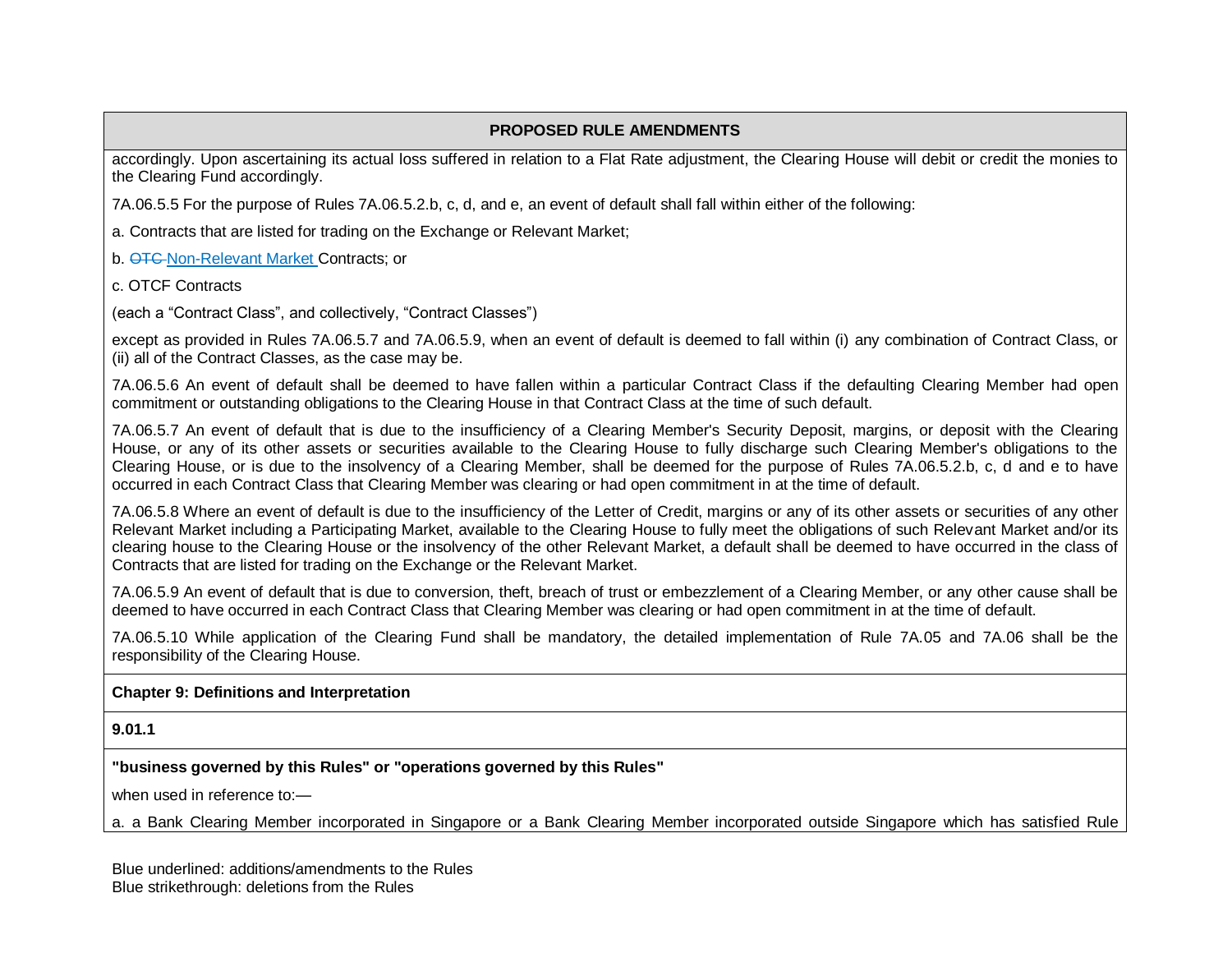accordingly. Upon ascertaining its actual loss suffered in relation to a Flat Rate adjustment, the Clearing House will debit or credit the monies to the Clearing Fund accordingly.

7A.06.5.5 For the purpose of Rules 7A.06.5.2.b, c, d, and e, an event of default shall fall within either of the following:

a. Contracts that are listed for trading on the Exchange or Relevant Market;

b. **OTC-Non-Relevant Market Contracts; or** 

c. OTCF Contracts

(each a "Contract Class", and collectively, "Contract Classes")

except as provided in Rules 7A.06.5.7 and 7A.06.5.9, when an event of default is deemed to fall within (i) any combination of Contract Class, or (ii) all of the Contract Classes, as the case may be.

7A.06.5.6 An event of default shall be deemed to have fallen within a particular Contract Class if the defaulting Clearing Member had open commitment or outstanding obligations to the Clearing House in that Contract Class at the time of such default.

7A.06.5.7 An event of default that is due to the insufficiency of a Clearing Member's Security Deposit, margins, or deposit with the Clearing House, or any of its other assets or securities available to the Clearing House to fully discharge such Clearing Member's obligations to the Clearing House, or is due to the insolvency of a Clearing Member, shall be deemed for the purpose of Rules 7A.06.5.2.b, c, d and e to have occurred in each Contract Class that Clearing Member was clearing or had open commitment in at the time of default.

7A.06.5.8 Where an event of default is due to the insufficiency of the Letter of Credit, margins or any of its other assets or securities of any other Relevant Market including a Participating Market, available to the Clearing House to fully meet the obligations of such Relevant Market and/or its clearing house to the Clearing House or the insolvency of the other Relevant Market, a default shall be deemed to have occurred in the class of Contracts that are listed for trading on the Exchange or the Relevant Market.

7A.06.5.9 An event of default that is due to conversion, theft, breach of trust or embezzlement of a Clearing Member, or any other cause shall be deemed to have occurred in each Contract Class that Clearing Member was clearing or had open commitment in at the time of default.

7A.06.5.10 While application of the Clearing Fund shall be mandatory, the detailed implementation of Rule 7A.05 and 7A.06 shall be the responsibility of the Clearing House.

### **Chapter 9: Definitions and Interpretation**

**9.01.1**

**"business governed by this Rules" or "operations governed by this Rules"**

when used in reference to:—

a. a Bank Clearing Member incorporated in Singapore or a Bank Clearing Member incorporated outside Singapore which has satisfied Rule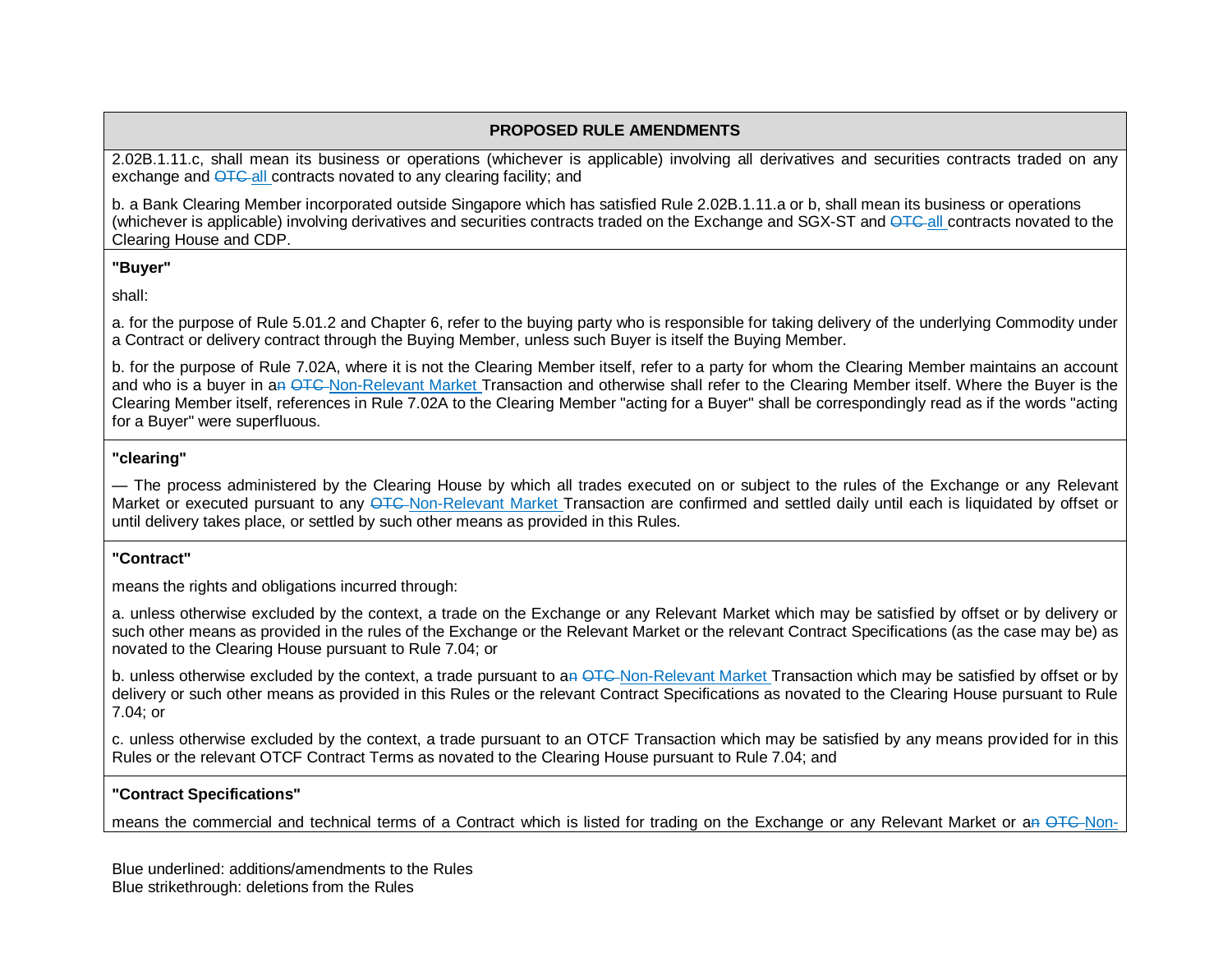2.02B.1.11.c, shall mean its business or operations (whichever is applicable) involving all derivatives and securities contracts traded on any exchange and  $\overline{OTC}$  all contracts novated to any clearing facility; and

b. a Bank Clearing Member incorporated outside Singapore which has satisfied Rule 2.02B.1.11.a or b, shall mean its business or operations (whichever is applicable) involving derivatives and securities contracts traded on the Exchange and SGX-ST and OTC-all contracts novated to the Clearing House and CDP.

#### **"Buyer"**

shall:

a. for the purpose of Rule 5.01.2 and Chapter 6, refer to the buying party who is responsible for taking delivery of the underlying Commodity under a Contract or delivery contract through the Buying Member, unless such Buyer is itself the Buying Member.

b. for the purpose of Rule 7.02A, where it is not the Clearing Member itself, refer to a party for whom the Clearing Member maintains an account and who is a buyer in an OTC-Non-Relevant Market Transaction and otherwise shall refer to the Clearing Member itself. Where the Buyer is the Clearing Member itself, references in Rule 7.02A to the Clearing Member "acting for a Buyer" shall be correspondingly read as if the words "acting for a Buyer" were superfluous.

#### **"clearing"**

— The process administered by the Clearing House by which all trades executed on or subject to the rules of the Exchange or any Relevant Market or executed pursuant to any  $\overline{OTC}$ -Non-Relevant Market Transaction are confirmed and settled daily until each is liquidated by offset or until delivery takes place, or settled by such other means as provided in this Rules.

### **"Contract"**

means the rights and obligations incurred through:

a. unless otherwise excluded by the context, a trade on the Exchange or any Relevant Market which may be satisfied by offset or by delivery or such other means as provided in the rules of the Exchange or the Relevant Market or the relevant Contract Specifications (as the case may be) as novated to the Clearing House pursuant to Rule 7.04; or

b. unless otherwise excluded by the context, a trade pursuant to an  $QTC$ -Non-Relevant Market Transaction which may be satisfied by offset or by delivery or such other means as provided in this Rules or the relevant Contract Specifications as novated to the Clearing House pursuant to Rule 7.04; or

c. unless otherwise excluded by the context, a trade pursuant to an OTCF Transaction which may be satisfied by any means provided for in this Rules or the relevant OTCF Contract Terms as novated to the Clearing House pursuant to Rule 7.04; and

### **"Contract Specifications"**

means the commercial and technical terms of a Contract which is listed for trading on the Exchange or any Relevant Market or an OTC-Non-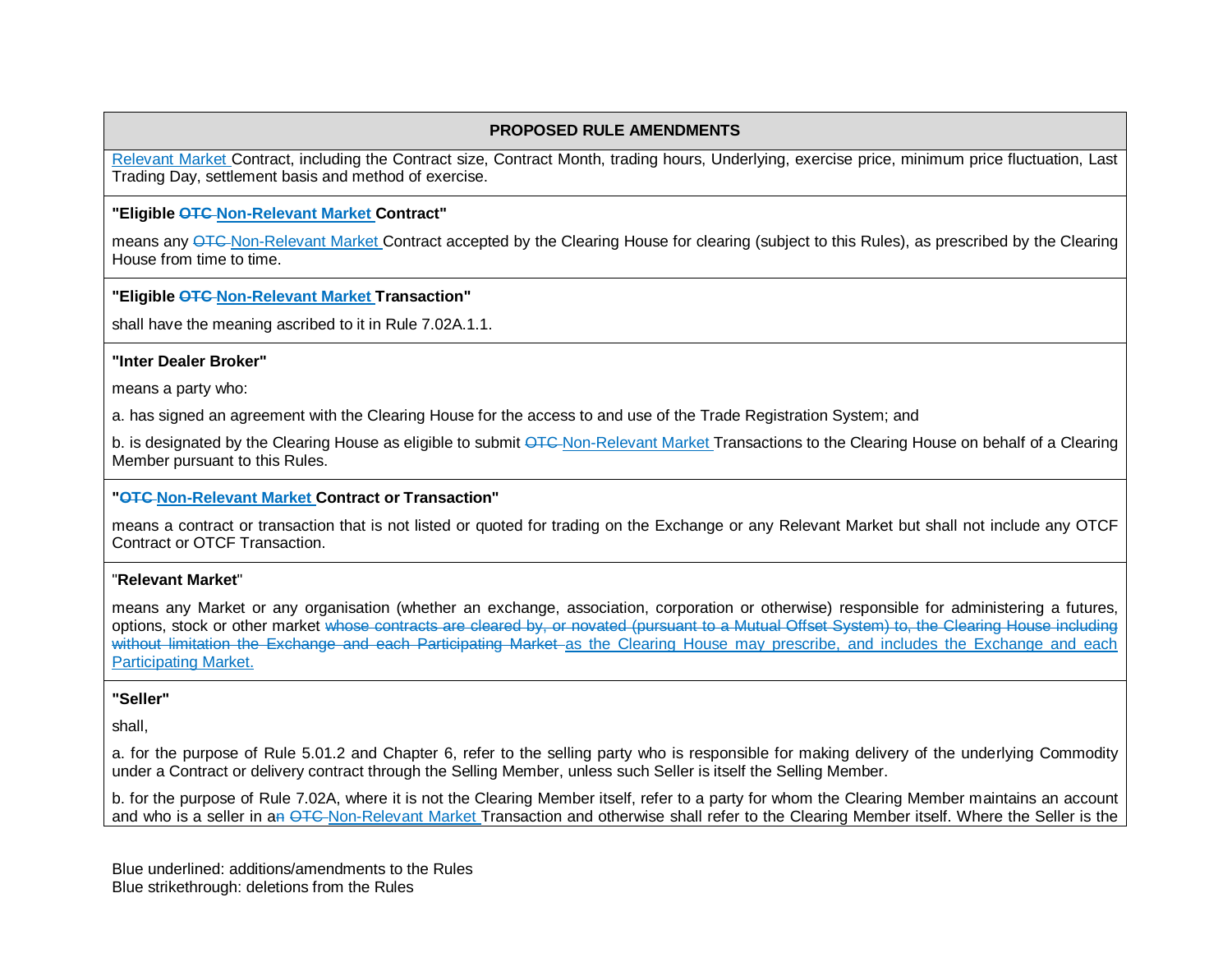Relevant Market Contract, including the Contract size, Contract Month, trading hours, Underlying, exercise price, minimum price fluctuation, Last Trading Day, settlement basis and method of exercise.

#### **"Eligible OTC Non-Relevant Market Contract"**

means any OTC Non-Relevant Market Contract accepted by the Clearing House for clearing (subject to this Rules), as prescribed by the Clearing House from time to time.

#### **"Eligible OTC Non-Relevant Market Transaction"**

shall have the meaning ascribed to it in Rule 7.02A.1.1.

#### **"Inter Dealer Broker"**

means a party who:

a. has signed an agreement with the Clearing House for the access to and use of the Trade Registration System; and

b. is designated by the Clearing House as eligible to submit OTC-Non-Relevant Market Transactions to the Clearing House on behalf of a Clearing Member pursuant to this Rules.

#### **"OTC Non-Relevant Market Contract or Transaction"**

means a contract or transaction that is not listed or quoted for trading on the Exchange or any Relevant Market but shall not include any OTCF Contract or OTCF Transaction.

#### "**Relevant Market**"

means any Market or any organisation (whether an exchange, association, corporation or otherwise) responsible for administering a futures, options, stock or other market whose contracts are cleared by, or novated (pursuant to a Mutual Offset System) to, the Clearing House including without limitation the Exchange and each Participating Market as the Clearing House may prescribe, and includes the Exchange and each Participating Market.

#### **"Seller"**

shall,

a. for the purpose of Rule 5.01.2 and Chapter 6, refer to the selling party who is responsible for making delivery of the underlying Commodity under a Contract or delivery contract through the Selling Member, unless such Seller is itself the Selling Member.

b. for the purpose of Rule 7.02A, where it is not the Clearing Member itself, refer to a party for whom the Clearing Member maintains an account and who is a seller in an OTC-Non-Relevant Market Transaction and otherwise shall refer to the Clearing Member itself. Where the Seller is the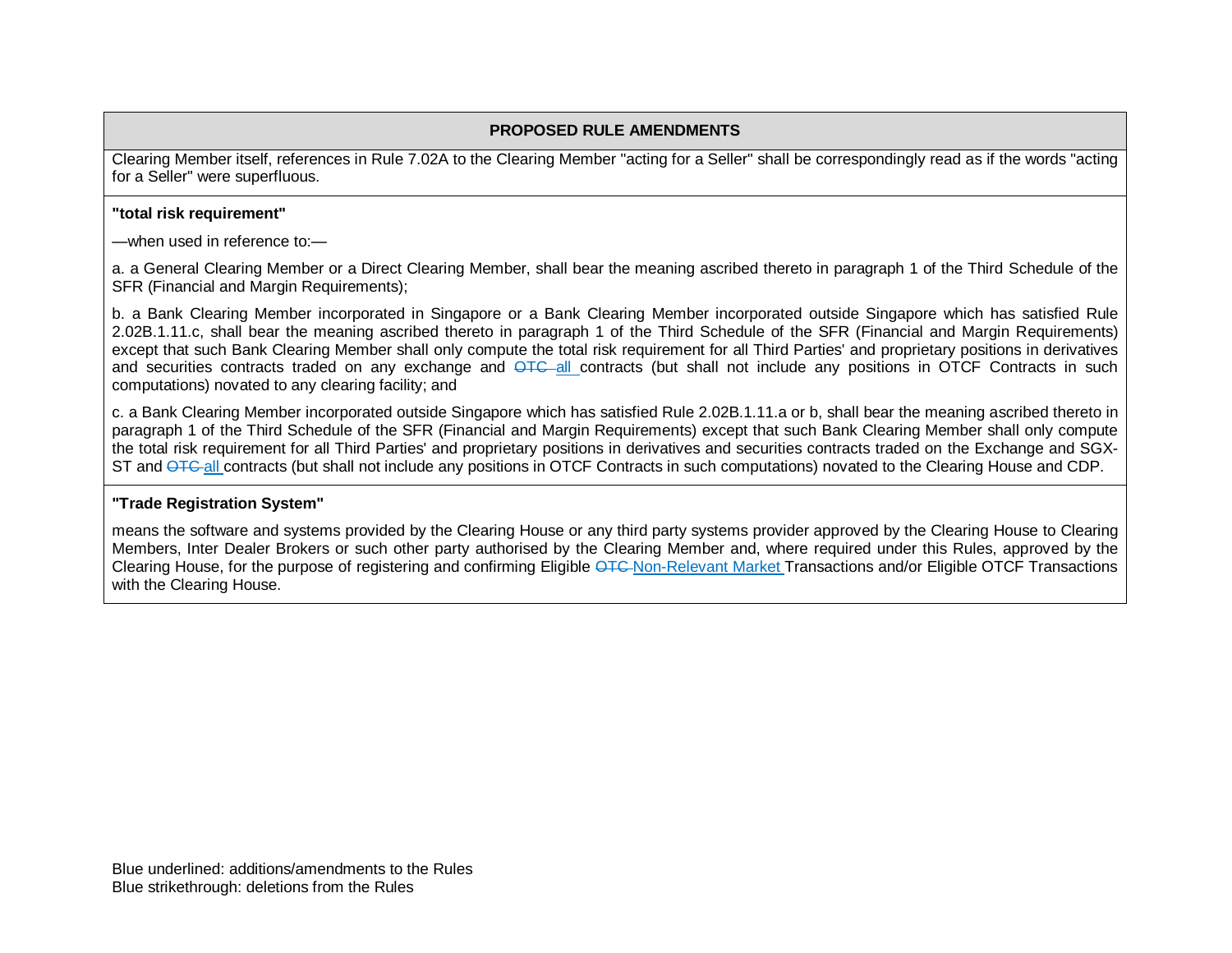Clearing Member itself, references in Rule 7.02A to the Clearing Member "acting for a Seller" shall be correspondingly read as if the words "acting for a Seller" were superfluous.

#### **"total risk requirement"**

—when used in reference to:—

a. a General Clearing Member or a Direct Clearing Member, shall bear the meaning ascribed thereto in paragraph 1 of the Third Schedule of the SFR (Financial and Margin Requirements);

b. a Bank Clearing Member incorporated in Singapore or a Bank Clearing Member incorporated outside Singapore which has satisfied Rule 2.02B.1.11.c, shall bear the meaning ascribed thereto in paragraph 1 of the Third Schedule of the SFR (Financial and Margin Requirements) except that such Bank Clearing Member shall only compute the total risk requirement for all Third Parties' and proprietary positions in derivatives and securities contracts traded on any exchange and <del>OTC</del>-all contracts (but shall not include any positions in OTCF Contracts in such computations) novated to any clearing facility; and

c. a Bank Clearing Member incorporated outside Singapore which has satisfied Rule 2.02B.1.11.a or b, shall bear the meaning ascribed thereto in paragraph 1 of the Third Schedule of the SFR (Financial and Margin Requirements) except that such Bank Clearing Member shall only compute the total risk requirement for all Third Parties' and proprietary positions in derivatives and securities contracts traded on the Exchange and SGX-ST and OTC-all contracts (but shall not include any positions in OTCF Contracts in such computations) novated to the Clearing House and CDP.

#### **"Trade Registration System"**

means the software and systems provided by the Clearing House or any third party systems provider approved by the Clearing House to Clearing Members, Inter Dealer Brokers or such other party authorised by the Clearing Member and, where required under this Rules, approved by the Clearing House, for the purpose of registering and confirming Eligible OTC Non-Relevant Market Transactions and/or Eligible OTCF Transactions with the Clearing House.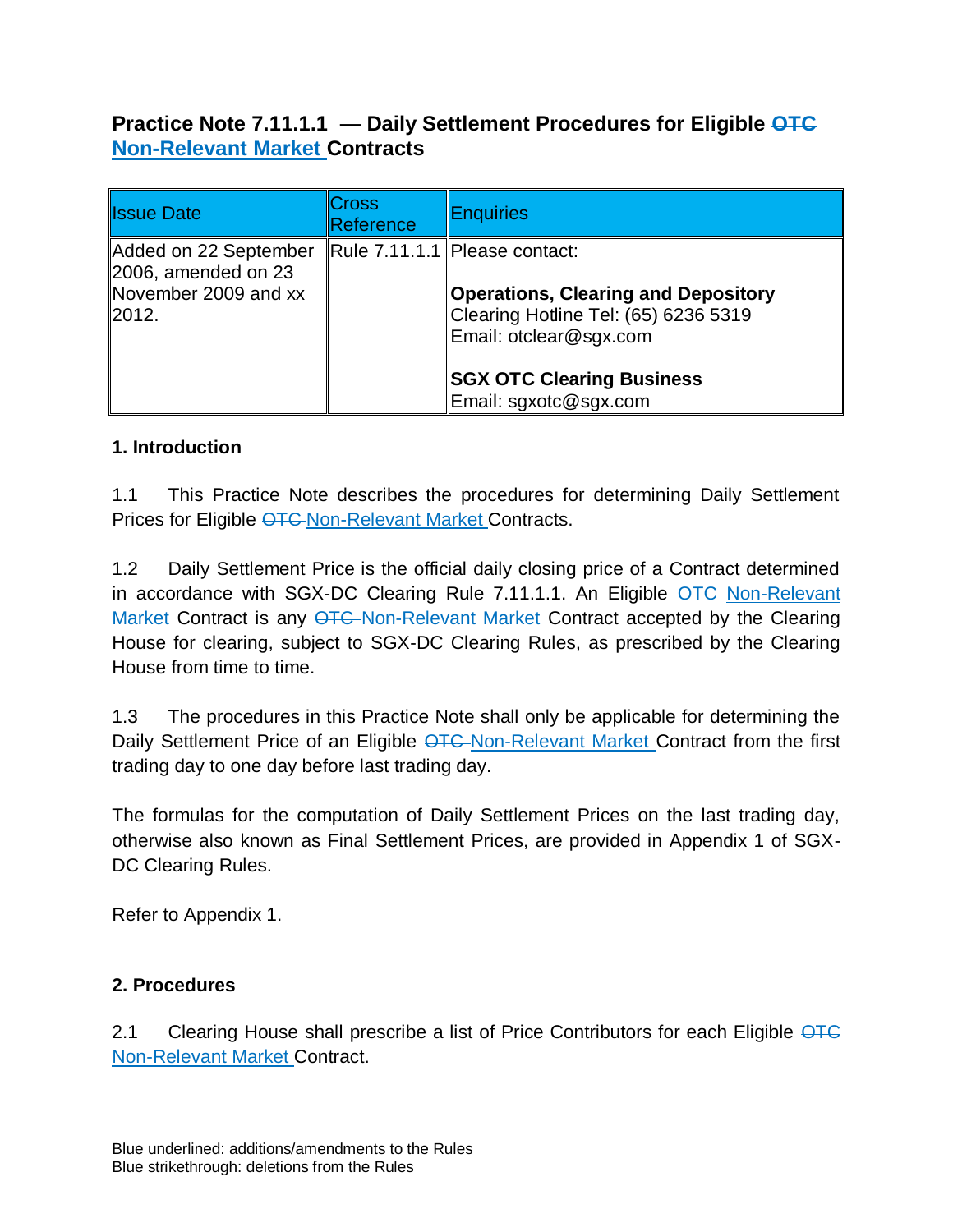# **Practice Note 7.11.1.1 — Daily Settlement Procedures for Eligible OTC Non-Relevant Market Contracts**

| <b>Issue Date</b>                                                                     | <b>Cross</b><br>Reference | Enquiries                                                                                                                                                                                                  |
|---------------------------------------------------------------------------------------|---------------------------|------------------------------------------------------------------------------------------------------------------------------------------------------------------------------------------------------------|
| Added on 22 September<br>$\vert$ 2006, amended on 23<br>November 2009 and xx<br>2012. |                           | Rule 7.11.1.1 Please contact:<br><b>Operations, Clearing and Depository</b><br>Clearing Hotline Tel: (65) 6236 5319<br>Email: otclear@sgx.com<br><b>SGX OTC Clearing Business</b><br>Email: sgxotc@sgx.com |

## **1. Introduction**

1.1 This Practice Note describes the procedures for determining Daily Settlement Prices for Eligible OTC-Non-Relevant Market Contracts.

1.2 Daily Settlement Price is the official daily closing price of a Contract determined in accordance with SGX-DC Clearing Rule 7.11.1.1. An Eligible OTC-Non-Relevant Market Contract is any OTC Non-Relevant Market Contract accepted by the Clearing House for clearing, subject to SGX-DC Clearing Rules, as prescribed by the Clearing House from time to time.

1.3 The procedures in this Practice Note shall only be applicable for determining the Daily Settlement Price of an Eligible OTC Non-Relevant Market Contract from the first trading day to one day before last trading day.

The formulas for the computation of Daily Settlement Prices on the last trading day, otherwise also known as Final Settlement Prices, are provided in Appendix 1 of SGX-DC Clearing Rules.

Refer to Appendix 1.

## **2. Procedures**

2.1 Clearing House shall prescribe a list of Price Contributors for each Eligible OTC Non-Relevant Market Contract.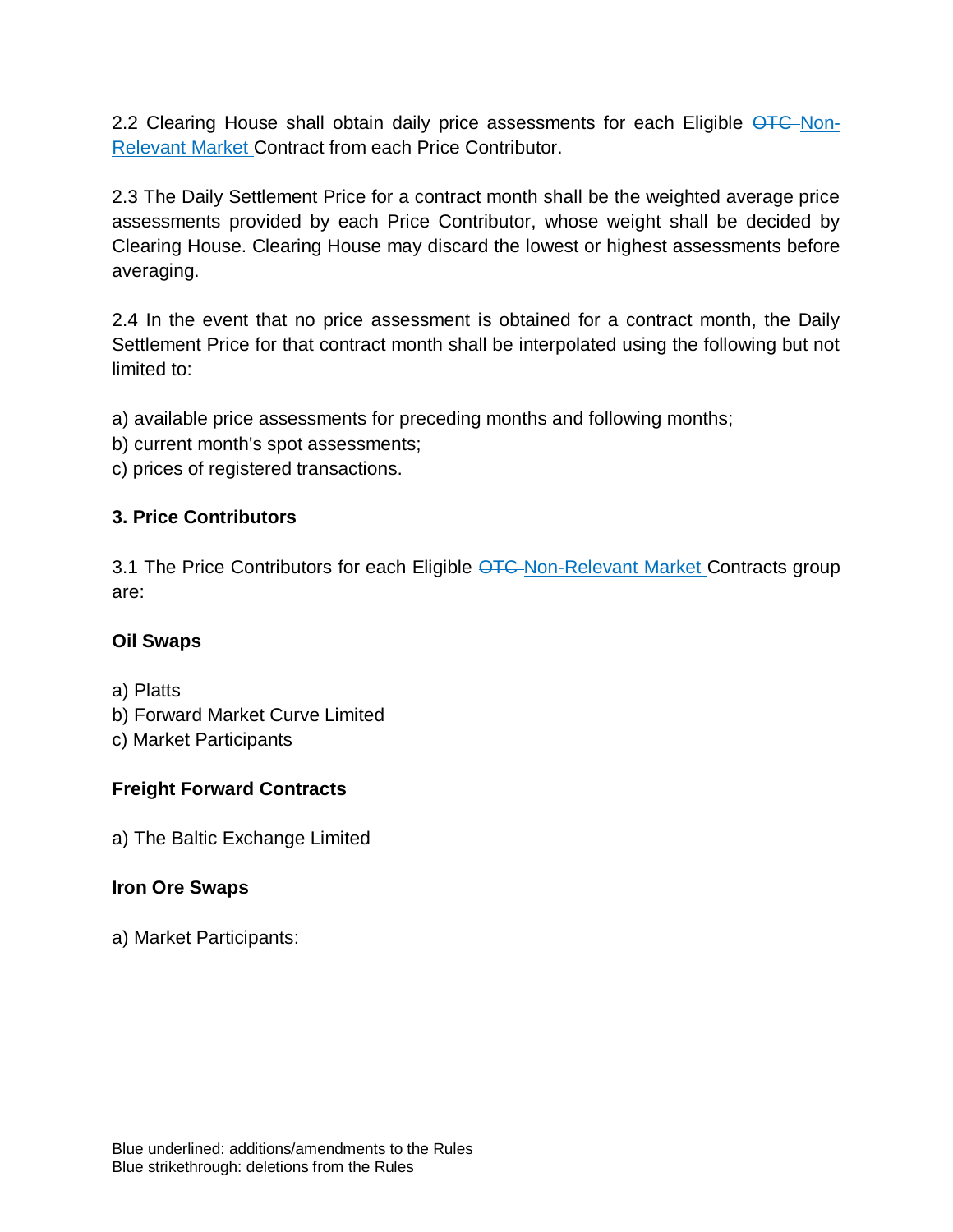2.2 Clearing House shall obtain daily price assessments for each Eligible OTC Non-Relevant Market Contract from each Price Contributor.

2.3 The Daily Settlement Price for a contract month shall be the weighted average price assessments provided by each Price Contributor, whose weight shall be decided by Clearing House. Clearing House may discard the lowest or highest assessments before averaging.

2.4 In the event that no price assessment is obtained for a contract month, the Daily Settlement Price for that contract month shall be interpolated using the following but not limited to:

a) available price assessments for preceding months and following months;

- b) current month's spot assessments;
- c) prices of registered transactions.

## **3. Price Contributors**

3.1 The Price Contributors for each Eligible OTC Non-Relevant Market Contracts group are:

## **Oil Swaps**

a) Platts

- b) Forward Market Curve Limited
- c) Market Participants

## **Freight Forward Contracts**

a) The Baltic Exchange Limited

## **Iron Ore Swaps**

a) Market Participants: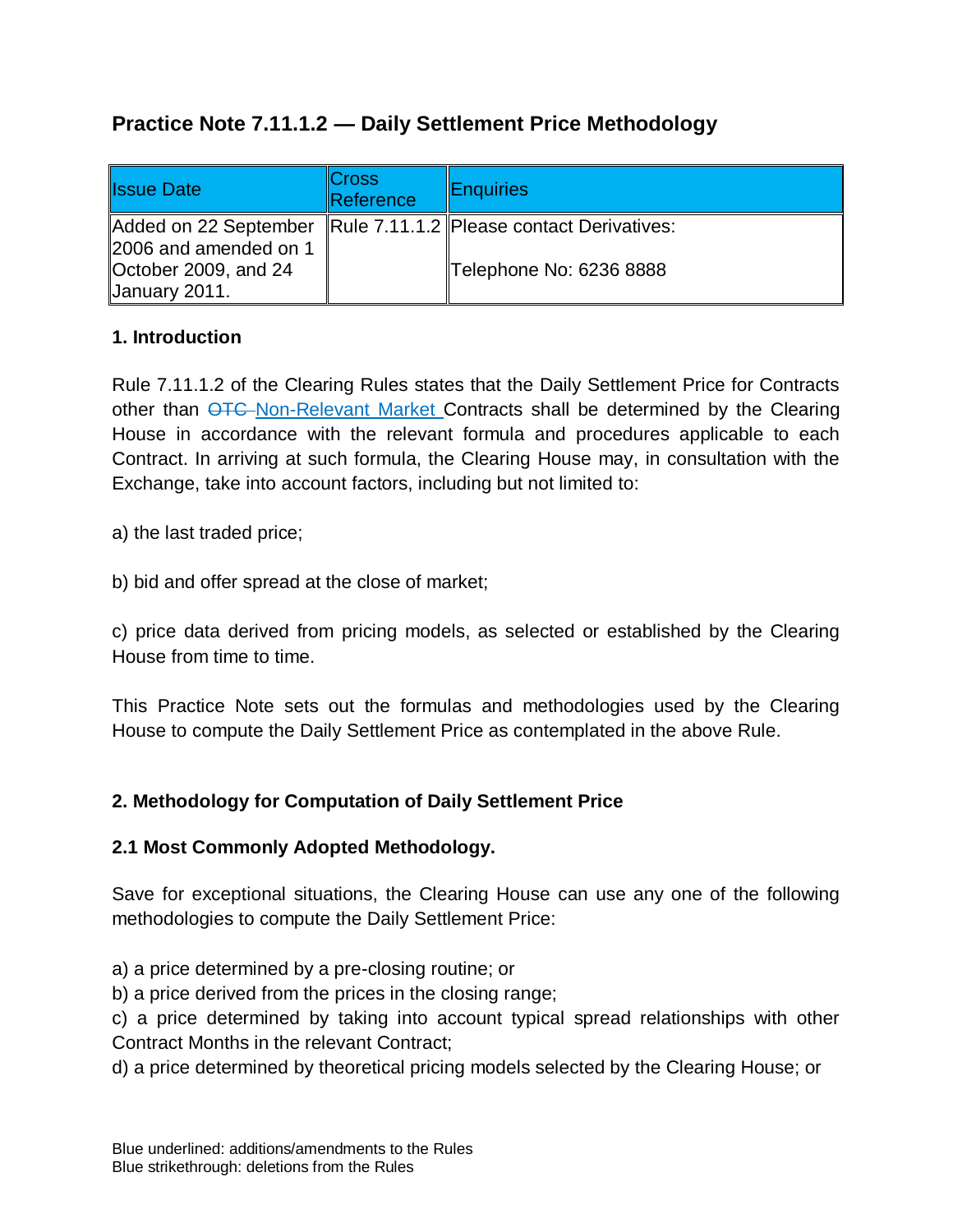# **Practice Note 7.11.1.2 — Daily Settlement Price Methodology**

| <b>Issue Date</b>     | ∥Cross<br><b>Reference</b> | <b>Enquiries</b>                                                |
|-----------------------|----------------------------|-----------------------------------------------------------------|
|                       |                            | Added on 22 September Rule 7.11.1.2 Please contact Derivatives: |
| 2006 and amended on 1 |                            |                                                                 |
| October 2009, and 24  |                            | Telephone No: 6236 8888                                         |
| January 2011.         |                            |                                                                 |

## **1. Introduction**

Rule 7.11.1.2 of the Clearing Rules states that the Daily Settlement Price for Contracts other than  $\overline{OTC}$ -Non-Relevant Market Contracts shall be determined by the Clearing House in accordance with the relevant formula and procedures applicable to each Contract. In arriving at such formula, the Clearing House may, in consultation with the Exchange, take into account factors, including but not limited to:

a) the last traded price;

b) bid and offer spread at the close of market;

c) price data derived from pricing models, as selected or established by the Clearing House from time to time.

This Practice Note sets out the formulas and methodologies used by the Clearing House to compute the Daily Settlement Price as contemplated in the above Rule.

# **2. Methodology for Computation of Daily Settlement Price**

## **2.1 Most Commonly Adopted Methodology.**

Save for exceptional situations, the Clearing House can use any one of the following methodologies to compute the Daily Settlement Price:

a) a price determined by a pre-closing routine; or

b) a price derived from the prices in the closing range;

c) a price determined by taking into account typical spread relationships with other Contract Months in the relevant Contract;

d) a price determined by theoretical pricing models selected by the Clearing House; or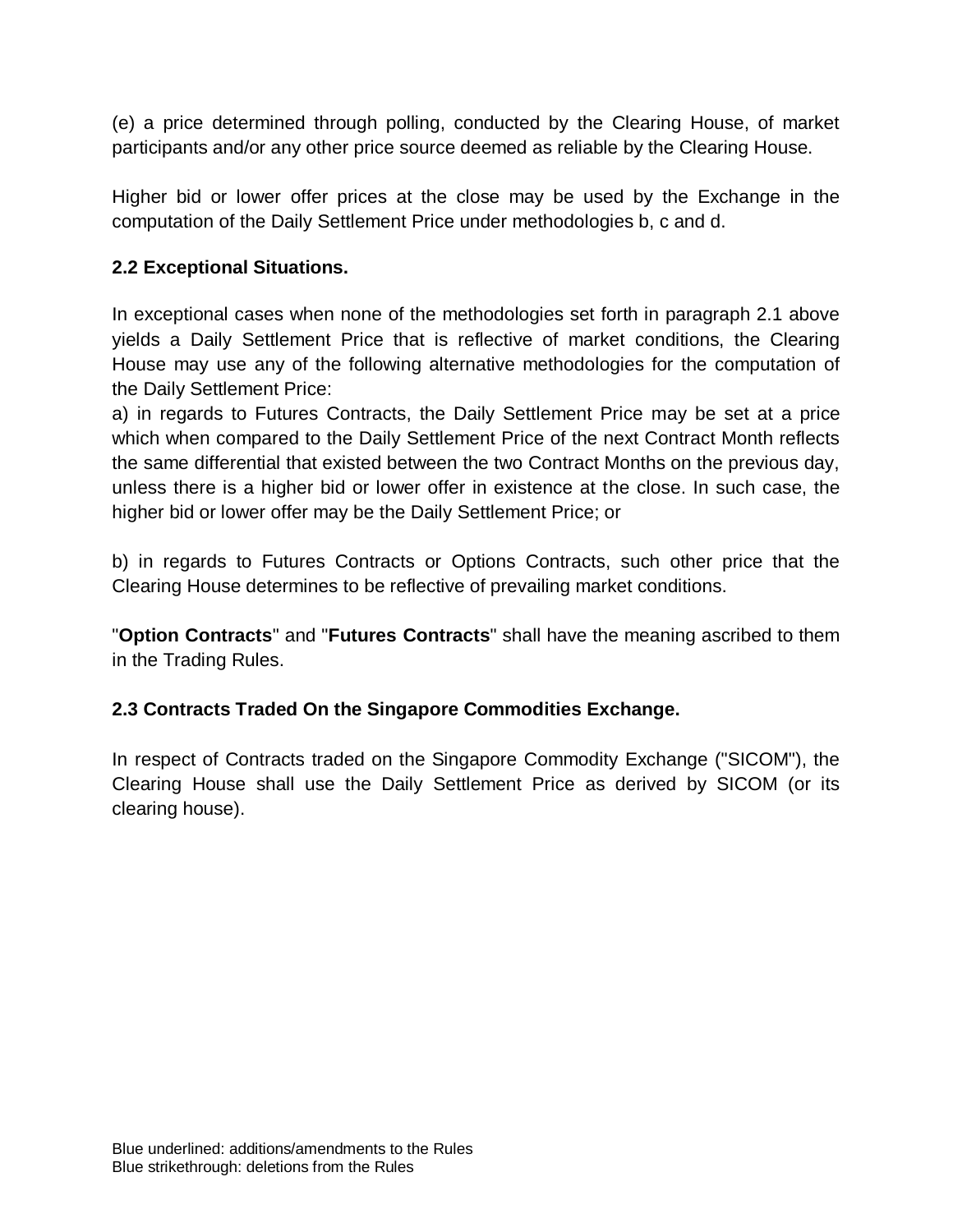(e) a price determined through polling, conducted by the Clearing House, of market participants and/or any other price source deemed as reliable by the Clearing House.

Higher bid or lower offer prices at the close may be used by the Exchange in the computation of the Daily Settlement Price under methodologies b, c and d.

## **2.2 Exceptional Situations.**

In exceptional cases when none of the methodologies set forth in paragraph 2.1 above yields a Daily Settlement Price that is reflective of market conditions, the Clearing House may use any of the following alternative methodologies for the computation of the Daily Settlement Price:

a) in regards to Futures Contracts, the Daily Settlement Price may be set at a price which when compared to the Daily Settlement Price of the next Contract Month reflects the same differential that existed between the two Contract Months on the previous day, unless there is a higher bid or lower offer in existence at the close. In such case, the higher bid or lower offer may be the Daily Settlement Price; or

b) in regards to Futures Contracts or Options Contracts, such other price that the Clearing House determines to be reflective of prevailing market conditions.

"**Option Contracts**" and "**Futures Contracts**" shall have the meaning ascribed to them in the Trading Rules.

## **2.3 Contracts Traded On the Singapore Commodities Exchange.**

In respect of Contracts traded on the Singapore Commodity Exchange ("SICOM"), the Clearing House shall use the Daily Settlement Price as derived by SICOM (or its clearing house).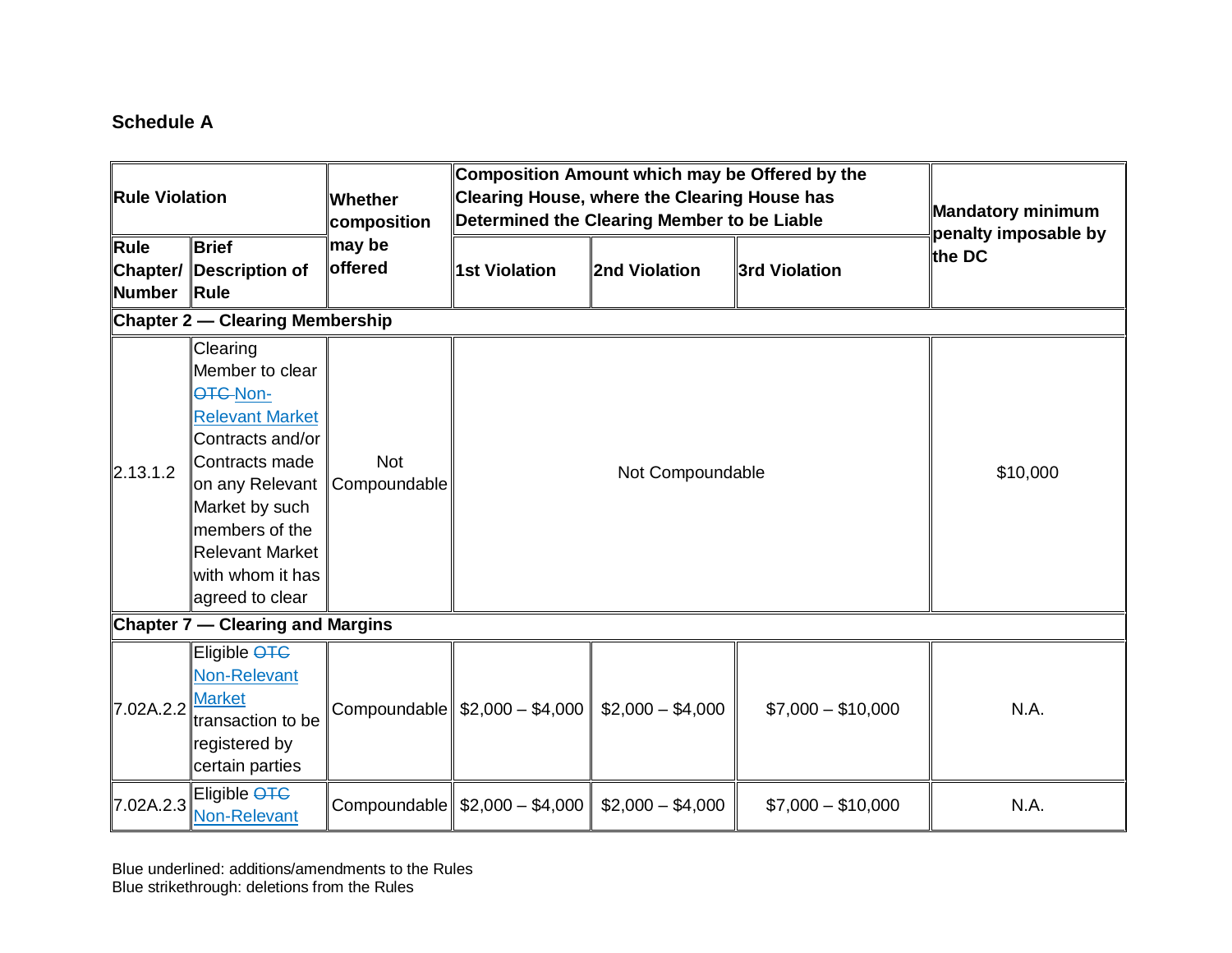# **Schedule A**

| <b>Rule Violation</b>                   |                                                                                                                                                                                                                          | <b>Whether</b><br>∣composition | Composition Amount which may be Offered by the<br>Clearing House, where the Clearing House has<br>Determined the Clearing Member to be Liable |                   |                    | Mandatory minimum<br>penalty imposable by |  |
|-----------------------------------------|--------------------------------------------------------------------------------------------------------------------------------------------------------------------------------------------------------------------------|--------------------------------|-----------------------------------------------------------------------------------------------------------------------------------------------|-------------------|--------------------|-------------------------------------------|--|
| Rule<br>Number Rule                     | <b>Brief</b><br><b>Chapter/ Description of</b>                                                                                                                                                                           | may be<br><b>loffered</b>      | <b>1st Violation</b>                                                                                                                          | 2nd Violation     | 3rd Violation      | lthe DC                                   |  |
|                                         | <b>Chapter 2 – Clearing Membership</b>                                                                                                                                                                                   |                                |                                                                                                                                               |                   |                    |                                           |  |
| 2.13.1.2                                | Clearing<br>Member to clear<br>OTC-Non-<br><b>Relevant Market</b><br>Contracts and/or<br>Contracts made<br>on any Relevant<br>Market by such<br>members of the<br>Relevant Market<br>with whom it has<br>agreed to clear | <b>Not</b><br>Compoundable     | Not Compoundable                                                                                                                              |                   |                    | \$10,000                                  |  |
| <b>Chapter 7 – Clearing and Margins</b> |                                                                                                                                                                                                                          |                                |                                                                                                                                               |                   |                    |                                           |  |
| 7.02A.2.2                               | Eligible <del>OTC</del><br>Non-Relevant<br><b>Market</b><br>transaction to be<br>registered by<br>certain parties                                                                                                        |                                | Compoundable   \$2,000 - \$4,000                                                                                                              | $$2,000 - $4,000$ | $$7,000 - $10,000$ | N.A.                                      |  |
| 7.02A.2.3                               | Eligible OTC<br><b>Non-Relevant</b>                                                                                                                                                                                      |                                | Compoundable $\frac{25000 - 14,000}{54}$                                                                                                      | $$2,000 - $4,000$ | $$7,000 - $10,000$ | N.A.                                      |  |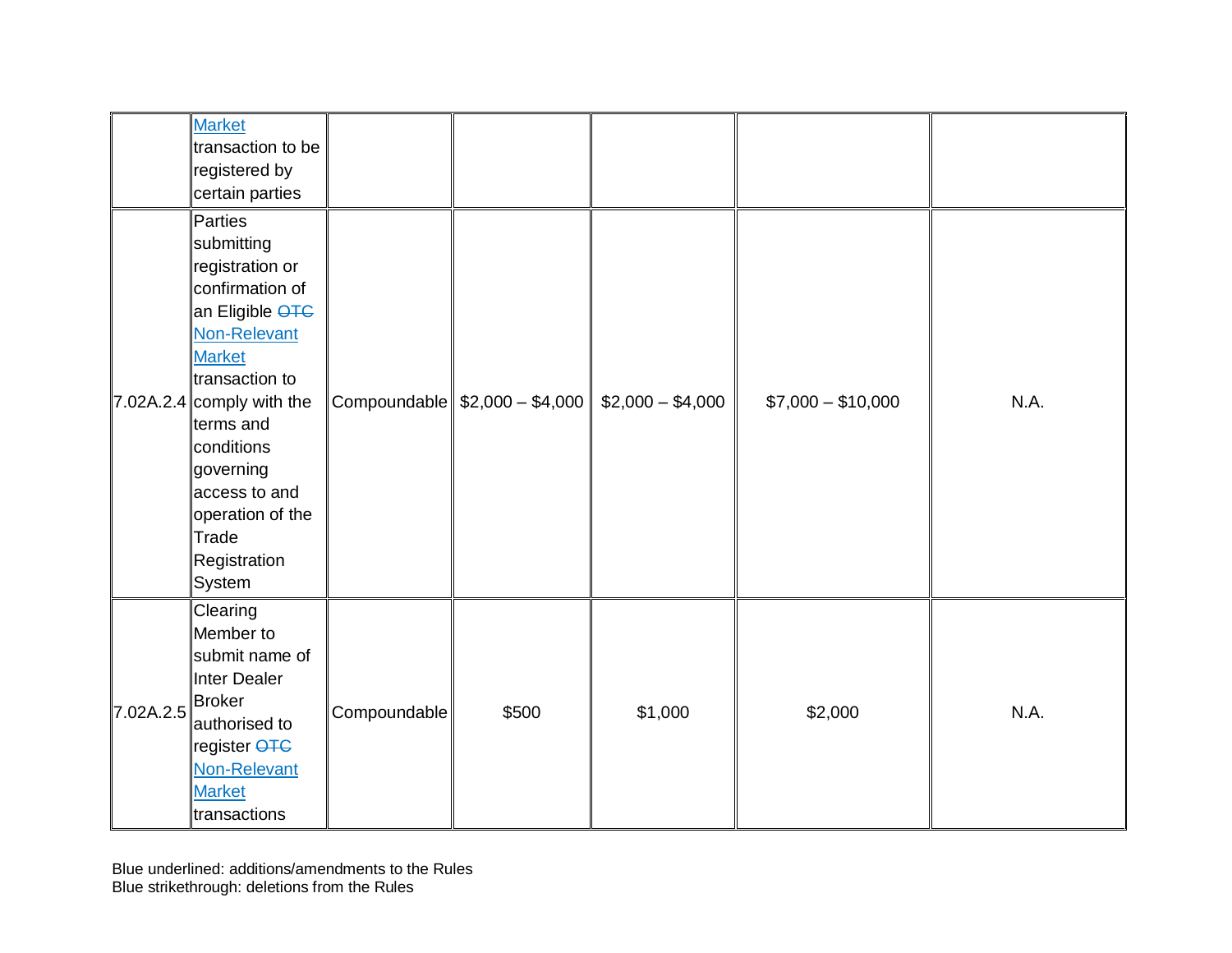|                             | <b>Market</b><br>transaction to be<br>registered by<br>certain parties                                                                                                                                                                                                                      |              |                                         |                   |                    |      |
|-----------------------------|---------------------------------------------------------------------------------------------------------------------------------------------------------------------------------------------------------------------------------------------------------------------------------------------|--------------|-----------------------------------------|-------------------|--------------------|------|
|                             | Parties<br>submitting<br>registration or<br>confirmation of<br>an Eligible <del>OTC</del><br>Non-Relevant<br><b>Market</b><br>transaction to<br>$7.02A.2.4$ comply with the<br>terms and<br>conditions<br>governing<br>access to and<br>operation of the<br>Trade<br>Registration<br>System |              | Compoundable $\frac{2000 - 14,000}{54}$ | $$2,000 - $4,000$ | $$7,000 - $10,000$ | N.A. |
| 7.02A.2.5 <sup>Broker</sup> | Clearing<br>Member to<br>submit name of<br>Inter Dealer<br>authorised to<br>register <del>OTC</del><br>Non-Relevant<br><b>Market</b><br>transactions                                                                                                                                        | Compoundable | \$500                                   | \$1,000           | \$2,000            | N.A. |